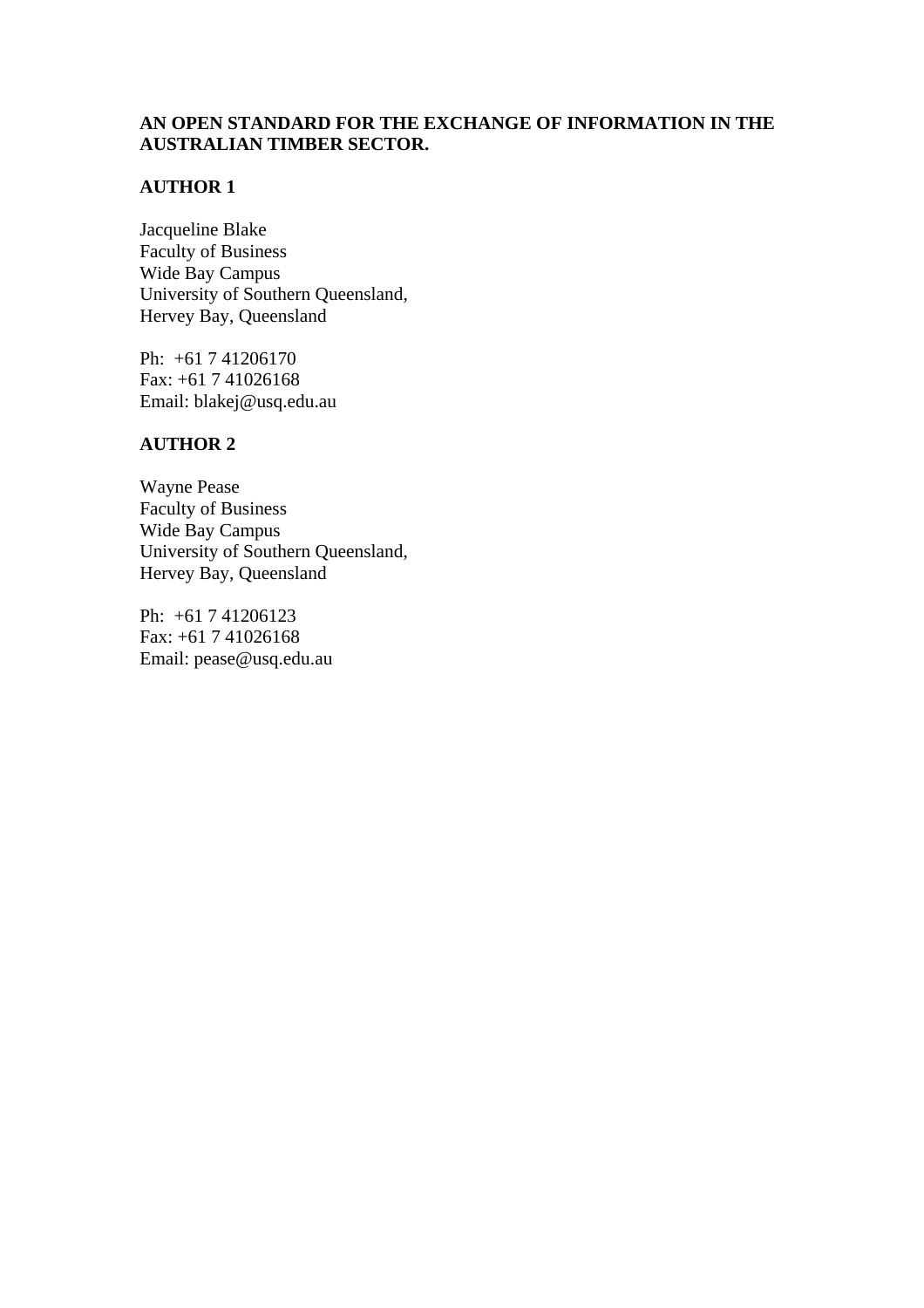# **AN OPEN STANDARD FOR THE EXCHANGE OF INFORMATION IN THE AUSTRALIAN TIMBER SECTOR.**

# **AUTHOR 1**

Jacqueline Blake Faculty of Business Wide Bay Campus University of Southern Queensland, Hervey Bay, Queensland

Ph: +61 7 41206170 Fax: +61 7 41026168 Email: blakej@usq.edu.au

## **AUTHOR 2**

Wayne Pease Faculty of Business Wide Bay Campus University of Southern Queensland, Hervey Bay, Queensland

Ph: +61 7 41206123 Fax: +61 7 41026168 Email: pease@usq.edu.au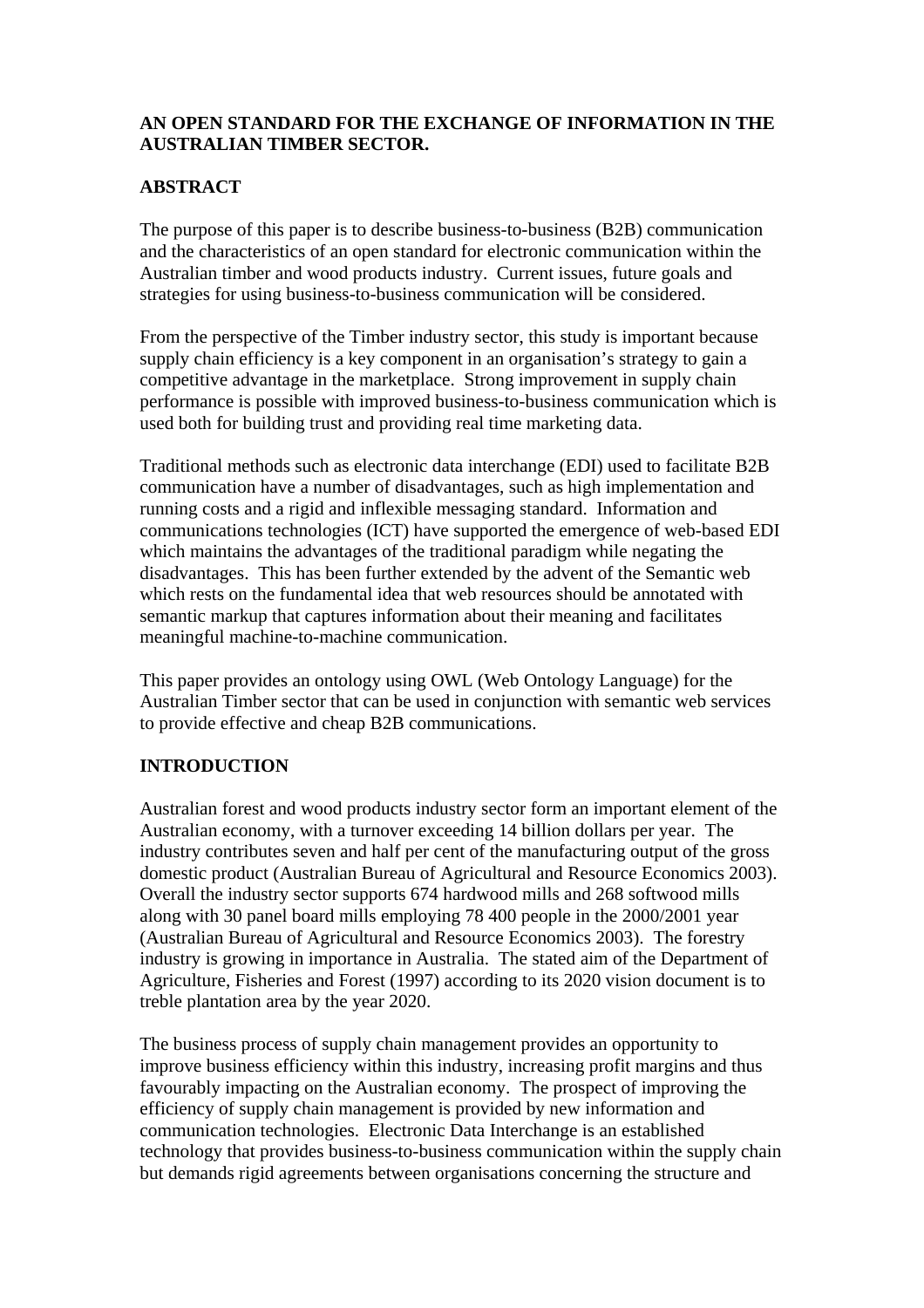## **AN OPEN STANDARD FOR THE EXCHANGE OF INFORMATION IN THE AUSTRALIAN TIMBER SECTOR.**

# **ABSTRACT**

The purpose of this paper is to describe business-to-business (B2B) communication and the characteristics of an open standard for electronic communication within the Australian timber and wood products industry. Current issues, future goals and strategies for using business-to-business communication will be considered.

From the perspective of the Timber industry sector, this study is important because supply chain efficiency is a key component in an organisation's strategy to gain a competitive advantage in the marketplace. Strong improvement in supply chain performance is possible with improved business-to-business communication which is used both for building trust and providing real time marketing data.

Traditional methods such as electronic data interchange (EDI) used to facilitate B2B communication have a number of disadvantages, such as high implementation and running costs and a rigid and inflexible messaging standard. Information and communications technologies (ICT) have supported the emergence of web-based EDI which maintains the advantages of the traditional paradigm while negating the disadvantages. This has been further extended by the advent of the Semantic web which rests on the fundamental idea that web resources should be annotated with semantic markup that captures information about their meaning and facilitates meaningful machine-to-machine communication.

This paper provides an ontology using OWL (Web Ontology Language) for the Australian Timber sector that can be used in conjunction with semantic web services to provide effective and cheap B2B communications.

## **INTRODUCTION**

Australian forest and wood products industry sector form an important element of the Australian economy, with a turnover exceeding 14 billion dollars per year. The industry contributes seven and half per cent of the manufacturing output of the gross domestic product (Australian Bureau of Agricultural and Resource Economics 2003). Overall the industry sector supports 674 hardwood mills and 268 softwood mills along with 30 panel board mills employing 78 400 people in the 2000/2001 year (Australian Bureau of Agricultural and Resource Economics 2003). The forestry industry is growing in importance in Australia. The stated aim of the Department of Agriculture, Fisheries and Forest (1997) according to its 2020 vision document is to treble plantation area by the year 2020.

The business process of supply chain management provides an opportunity to improve business efficiency within this industry, increasing profit margins and thus favourably impacting on the Australian economy. The prospect of improving the efficiency of supply chain management is provided by new information and communication technologies. Electronic Data Interchange is an established technology that provides business-to-business communication within the supply chain but demands rigid agreements between organisations concerning the structure and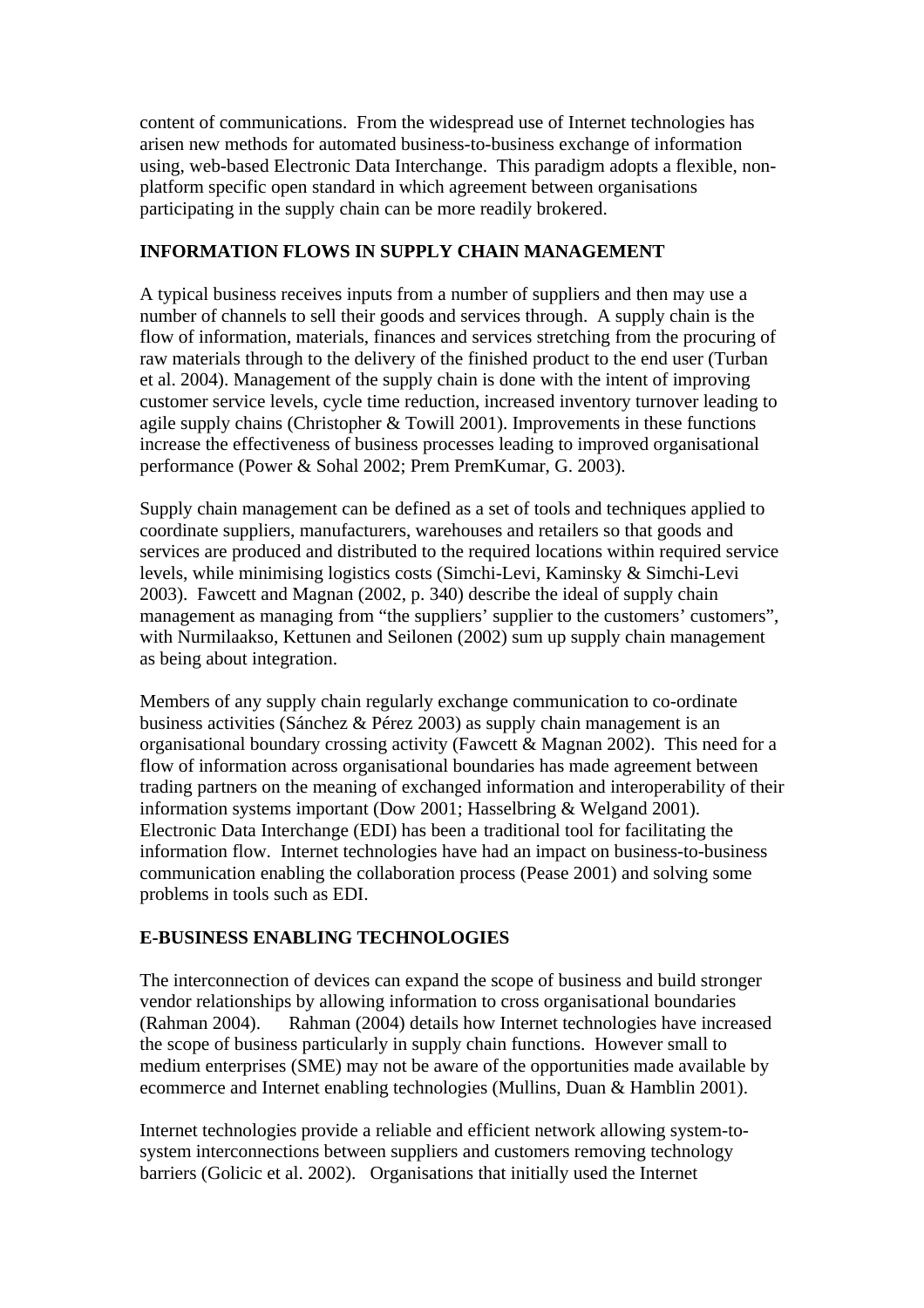content of communications. From the widespread use of Internet technologies has arisen new methods for automated business-to-business exchange of information using, web-based Electronic Data Interchange. This paradigm adopts a flexible, nonplatform specific open standard in which agreement between organisations participating in the supply chain can be more readily brokered.

#### **INFORMATION FLOWS IN SUPPLY CHAIN MANAGEMENT**

A typical business receives inputs from a number of suppliers and then may use a number of channels to sell their goods and services through. A supply chain is the flow of information, materials, finances and services stretching from the procuring of raw materials through to the delivery of the finished product to the end user (Turban et al. 2004). Management of the supply chain is done with the intent of improving customer service levels, cycle time reduction, increased inventory turnover leading to agile supply chains (Christopher & Towill 2001). Improvements in these functions increase the effectiveness of business processes leading to improved organisational performance (Power & Sohal 2002; Prem PremKumar, G. 2003).

Supply chain management can be defined as a set of tools and techniques applied to coordinate suppliers, manufacturers, warehouses and retailers so that goods and services are produced and distributed to the required locations within required service levels, while minimising logistics costs (Simchi-Levi, Kaminsky & Simchi-Levi 2003). Fawcett and Magnan (2002, p. 340) describe the ideal of supply chain management as managing from "the suppliers' supplier to the customers' customers", with Nurmilaakso, Kettunen and Seilonen (2002) sum up supply chain management as being about integration.

Members of any supply chain regularly exchange communication to co-ordinate business activities (Sánchez & Pérez 2003) as supply chain management is an organisational boundary crossing activity (Fawcett & Magnan 2002). This need for a flow of information across organisational boundaries has made agreement between trading partners on the meaning of exchanged information and interoperability of their information systems important (Dow 2001; Hasselbring & Welgand 2001). Electronic Data Interchange (EDI) has been a traditional tool for facilitating the information flow. Internet technologies have had an impact on business-to-business communication enabling the collaboration process (Pease 2001) and solving some problems in tools such as EDI.

## **E-BUSINESS ENABLING TECHNOLOGIES**

The interconnection of devices can expand the scope of business and build stronger vendor relationships by allowing information to cross organisational boundaries (Rahman 2004). Rahman (2004) details how Internet technologies have increased the scope of business particularly in supply chain functions. However small to medium enterprises (SME) may not be aware of the opportunities made available by ecommerce and Internet enabling technologies (Mullins, Duan & Hamblin 2001).

Internet technologies provide a reliable and efficient network allowing system-tosystem interconnections between suppliers and customers removing technology barriers (Golicic et al. 2002). Organisations that initially used the Internet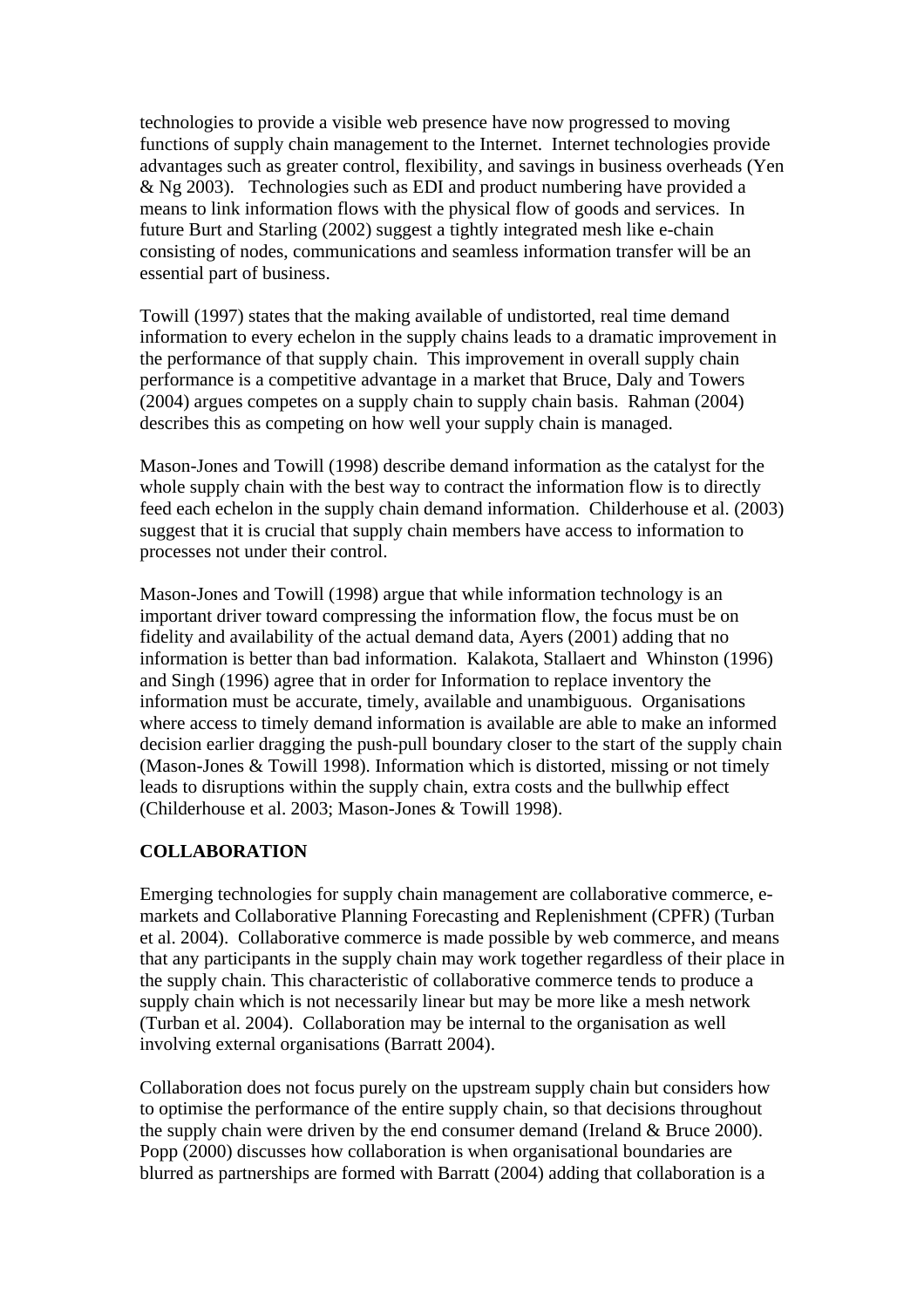technologies to provide a visible web presence have now progressed to moving functions of supply chain management to the Internet. Internet technologies provide advantages such as greater control, flexibility, and savings in business overheads (Yen & Ng 2003). Technologies such as EDI and product numbering have provided a means to link information flows with the physical flow of goods and services. In future Burt and Starling (2002) suggest a tightly integrated mesh like e-chain consisting of nodes, communications and seamless information transfer will be an essential part of business.

Towill (1997) states that the making available of undistorted, real time demand information to every echelon in the supply chains leads to a dramatic improvement in the performance of that supply chain. This improvement in overall supply chain performance is a competitive advantage in a market that Bruce, Daly and Towers (2004) argues competes on a supply chain to supply chain basis. Rahman (2004) describes this as competing on how well your supply chain is managed.

Mason-Jones and Towill (1998) describe demand information as the catalyst for the whole supply chain with the best way to contract the information flow is to directly feed each echelon in the supply chain demand information. Childerhouse et al. (2003) suggest that it is crucial that supply chain members have access to information to processes not under their control.

Mason-Jones and Towill (1998) argue that while information technology is an important driver toward compressing the information flow, the focus must be on fidelity and availability of the actual demand data, Ayers (2001) adding that no information is better than bad information. Kalakota, Stallaert and Whinston (1996) and Singh (1996) agree that in order for Information to replace inventory the information must be accurate, timely, available and unambiguous. Organisations where access to timely demand information is available are able to make an informed decision earlier dragging the push-pull boundary closer to the start of the supply chain (Mason-Jones & Towill 1998). Information which is distorted, missing or not timely leads to disruptions within the supply chain, extra costs and the bullwhip effect (Childerhouse et al. 2003; Mason-Jones & Towill 1998).

#### **COLLABORATION**

Emerging technologies for supply chain management are collaborative commerce, emarkets and Collaborative Planning Forecasting and Replenishment (CPFR) (Turban et al. 2004). Collaborative commerce is made possible by web commerce, and means that any participants in the supply chain may work together regardless of their place in the supply chain. This characteristic of collaborative commerce tends to produce a supply chain which is not necessarily linear but may be more like a mesh network (Turban et al. 2004). Collaboration may be internal to the organisation as well involving external organisations (Barratt 2004).

Collaboration does not focus purely on the upstream supply chain but considers how to optimise the performance of the entire supply chain, so that decisions throughout the supply chain were driven by the end consumer demand (Ireland & Bruce 2000). Popp (2000) discusses how collaboration is when organisational boundaries are blurred as partnerships are formed with Barratt (2004) adding that collaboration is a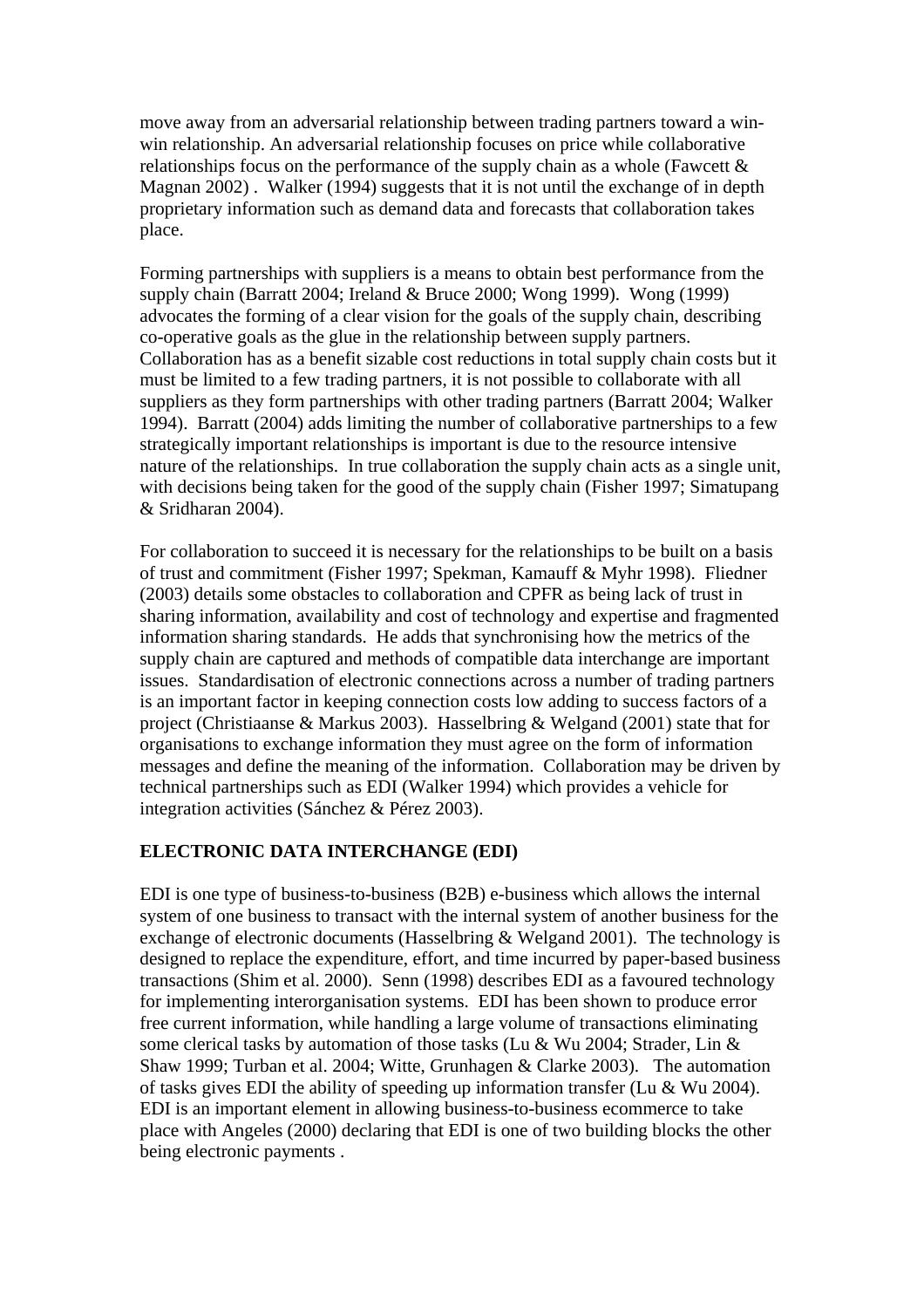move away from an adversarial relationship between trading partners toward a winwin relationship. An adversarial relationship focuses on price while collaborative relationships focus on the performance of the supply chain as a whole (Fawcett & Magnan 2002). Walker (1994) suggests that it is not until the exchange of in depth proprietary information such as demand data and forecasts that collaboration takes place.

Forming partnerships with suppliers is a means to obtain best performance from the supply chain (Barratt 2004; Ireland & Bruce 2000; Wong 1999). Wong (1999) advocates the forming of a clear vision for the goals of the supply chain, describing co-operative goals as the glue in the relationship between supply partners. Collaboration has as a benefit sizable cost reductions in total supply chain costs but it must be limited to a few trading partners, it is not possible to collaborate with all suppliers as they form partnerships with other trading partners (Barratt 2004; Walker 1994). Barratt (2004) adds limiting the number of collaborative partnerships to a few strategically important relationships is important is due to the resource intensive nature of the relationships. In true collaboration the supply chain acts as a single unit, with decisions being taken for the good of the supply chain (Fisher 1997; Simatupang & Sridharan 2004).

For collaboration to succeed it is necessary for the relationships to be built on a basis of trust and commitment (Fisher 1997; Spekman, Kamauff & Myhr 1998). Fliedner (2003) details some obstacles to collaboration and CPFR as being lack of trust in sharing information, availability and cost of technology and expertise and fragmented information sharing standards. He adds that synchronising how the metrics of the supply chain are captured and methods of compatible data interchange are important issues. Standardisation of electronic connections across a number of trading partners is an important factor in keeping connection costs low adding to success factors of a project (Christiaanse & Markus 2003). Hasselbring & Welgand (2001) state that for organisations to exchange information they must agree on the form of information messages and define the meaning of the information. Collaboration may be driven by technical partnerships such as EDI (Walker 1994) which provides a vehicle for integration activities (Sánchez & Pérez 2003).

## **ELECTRONIC DATA INTERCHANGE (EDI)**

EDI is one type of business-to-business (B2B) e-business which allows the internal system of one business to transact with the internal system of another business for the exchange of electronic documents (Hasselbring & Welgand 2001). The technology is designed to replace the expenditure, effort, and time incurred by paper-based business transactions (Shim et al. 2000). Senn (1998) describes EDI as a favoured technology for implementing interorganisation systems. EDI has been shown to produce error free current information, while handling a large volume of transactions eliminating some clerical tasks by automation of those tasks (Lu & Wu 2004; Strader, Lin & Shaw 1999; Turban et al. 2004; Witte, Grunhagen & Clarke 2003). The automation of tasks gives EDI the ability of speeding up information transfer (Lu & Wu 2004). EDI is an important element in allowing business-to-business ecommerce to take place with Angeles (2000) declaring that EDI is one of two building blocks the other being electronic payments .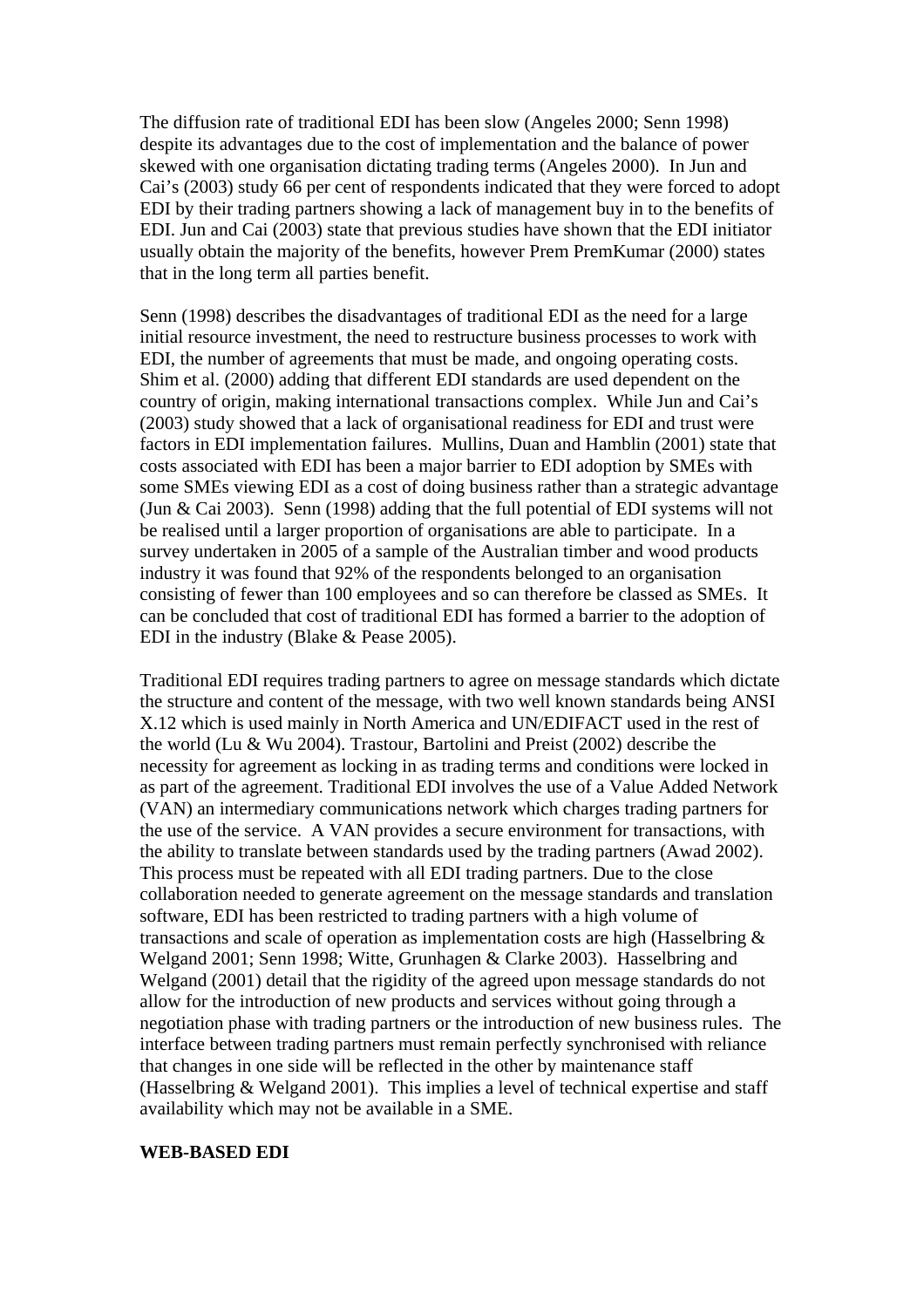The diffusion rate of traditional EDI has been slow (Angeles 2000; Senn 1998) despite its advantages due to the cost of implementation and the balance of power skewed with one organisation dictating trading terms (Angeles 2000). In Jun and Cai's (2003) study 66 per cent of respondents indicated that they were forced to adopt EDI by their trading partners showing a lack of management buy in to the benefits of EDI. Jun and Cai (2003) state that previous studies have shown that the EDI initiator usually obtain the majority of the benefits, however Prem PremKumar (2000) states that in the long term all parties benefit.

Senn (1998) describes the disadvantages of traditional EDI as the need for a large initial resource investment, the need to restructure business processes to work with EDI, the number of agreements that must be made, and ongoing operating costs. Shim et al. (2000) adding that different EDI standards are used dependent on the country of origin, making international transactions complex. While Jun and Cai's (2003) study showed that a lack of organisational readiness for EDI and trust were factors in EDI implementation failures. Mullins, Duan and Hamblin (2001) state that costs associated with EDI has been a major barrier to EDI adoption by SMEs with some SMEs viewing EDI as a cost of doing business rather than a strategic advantage (Jun & Cai 2003). Senn (1998) adding that the full potential of EDI systems will not be realised until a larger proportion of organisations are able to participate. In a survey undertaken in 2005 of a sample of the Australian timber and wood products industry it was found that 92% of the respondents belonged to an organisation consisting of fewer than 100 employees and so can therefore be classed as SMEs. It can be concluded that cost of traditional EDI has formed a barrier to the adoption of EDI in the industry (Blake & Pease 2005).

Traditional EDI requires trading partners to agree on message standards which dictate the structure and content of the message, with two well known standards being ANSI X.12 which is used mainly in North America and UN/EDIFACT used in the rest of the world (Lu & Wu 2004). Trastour, Bartolini and Preist (2002) describe the necessity for agreement as locking in as trading terms and conditions were locked in as part of the agreement. Traditional EDI involves the use of a Value Added Network (VAN) an intermediary communications network which charges trading partners for the use of the service. A VAN provides a secure environment for transactions, with the ability to translate between standards used by the trading partners (Awad 2002). This process must be repeated with all EDI trading partners. Due to the close collaboration needed to generate agreement on the message standards and translation software, EDI has been restricted to trading partners with a high volume of transactions and scale of operation as implementation costs are high (Hasselbring & Welgand 2001; Senn 1998; Witte, Grunhagen & Clarke 2003). Hasselbring and Welgand (2001) detail that the rigidity of the agreed upon message standards do not allow for the introduction of new products and services without going through a negotiation phase with trading partners or the introduction of new business rules. The interface between trading partners must remain perfectly synchronised with reliance that changes in one side will be reflected in the other by maintenance staff (Hasselbring & Welgand 2001). This implies a level of technical expertise and staff availability which may not be available in a SME.

#### **WEB-BASED EDI**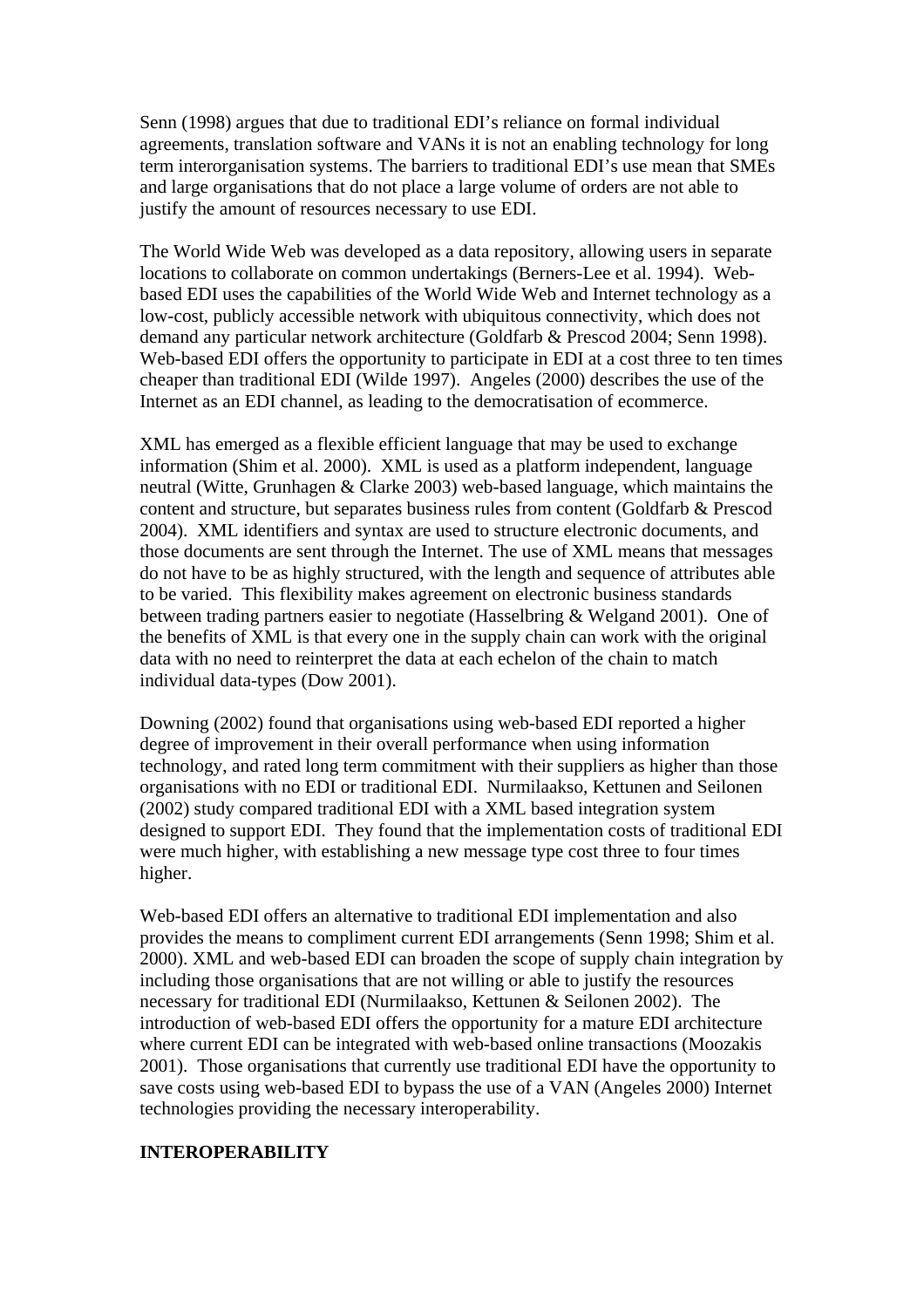Senn (1998) argues that due to traditional EDI's reliance on formal individual agreements, translation software and VANs it is not an enabling technology for long term interorganisation systems. The barriers to traditional EDI's use mean that SMEs and large organisations that do not place a large volume of orders are not able to justify the amount of resources necessary to use EDI.

The World Wide Web was developed as a data repository, allowing users in separate locations to collaborate on common undertakings (Berners-Lee et al. 1994). Webbased EDI uses the capabilities of the World Wide Web and Internet technology as a low-cost, publicly accessible network with ubiquitous connectivity, which does not demand any particular network architecture (Goldfarb & Prescod 2004; Senn 1998). Web-based EDI offers the opportunity to participate in EDI at a cost three to ten times cheaper than traditional EDI (Wilde 1997). Angeles (2000) describes the use of the Internet as an EDI channel, as leading to the democratisation of ecommerce.

XML has emerged as a flexible efficient language that may be used to exchange information (Shim et al. 2000). XML is used as a platform independent, language neutral (Witte, Grunhagen & Clarke 2003) web-based language, which maintains the content and structure, but separates business rules from content (Goldfarb & Prescod 2004). XML identifiers and syntax are used to structure electronic documents, and those documents are sent through the Internet. The use of XML means that messages do not have to be as highly structured, with the length and sequence of attributes able to be varied. This flexibility makes agreement on electronic business standards between trading partners easier to negotiate (Hasselbring & Welgand 2001). One of the benefits of XML is that every one in the supply chain can work with the original data with no need to reinterpret the data at each echelon of the chain to match individual data-types (Dow 2001).

Downing (2002) found that organisations using web-based EDI reported a higher degree of improvement in their overall performance when using information technology, and rated long term commitment with their suppliers as higher than those organisations with no EDI or traditional EDI. Nurmilaakso, Kettunen and Seilonen (2002) study compared traditional EDI with a XML based integration system designed to support EDI. They found that the implementation costs of traditional EDI were much higher, with establishing a new message type cost three to four times higher.

Web-based EDI offers an alternative to traditional EDI implementation and also provides the means to compliment current EDI arrangements (Senn 1998; Shim et al. 2000). XML and web-based EDI can broaden the scope of supply chain integration by including those organisations that are not willing or able to justify the resources necessary for traditional EDI (Nurmilaakso, Kettunen & Seilonen 2002). The introduction of web-based EDI offers the opportunity for a mature EDI architecture where current EDI can be integrated with web-based online transactions (Moozakis 2001). Those organisations that currently use traditional EDI have the opportunity to save costs using web-based EDI to bypass the use of a VAN (Angeles 2000) Internet technologies providing the necessary interoperability.

#### **INTEROPERABILITY**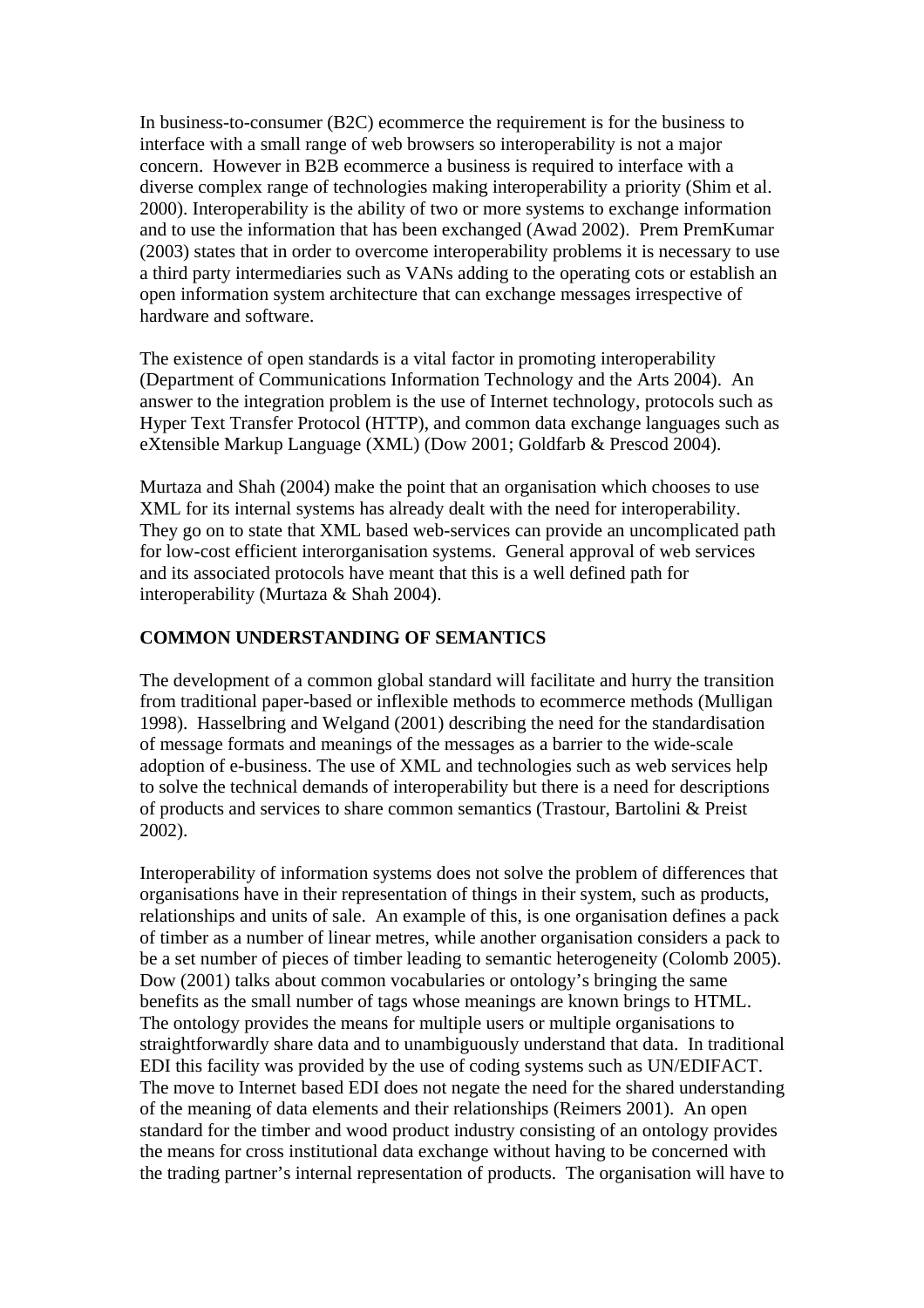In business-to-consumer (B2C) ecommerce the requirement is for the business to interface with a small range of web browsers so interoperability is not a major concern. However in B2B ecommerce a business is required to interface with a diverse complex range of technologies making interoperability a priority (Shim et al. 2000). Interoperability is the ability of two or more systems to exchange information and to use the information that has been exchanged (Awad 2002). Prem PremKumar (2003) states that in order to overcome interoperability problems it is necessary to use a third party intermediaries such as VANs adding to the operating cots or establish an open information system architecture that can exchange messages irrespective of hardware and software.

The existence of open standards is a vital factor in promoting interoperability (Department of Communications Information Technology and the Arts 2004). An answer to the integration problem is the use of Internet technology, protocols such as Hyper Text Transfer Protocol (HTTP), and common data exchange languages such as eXtensible Markup Language (XML) (Dow 2001; Goldfarb & Prescod 2004).

Murtaza and Shah (2004) make the point that an organisation which chooses to use XML for its internal systems has already dealt with the need for interoperability. They go on to state that XML based web-services can provide an uncomplicated path for low-cost efficient interorganisation systems. General approval of web services and its associated protocols have meant that this is a well defined path for interoperability (Murtaza & Shah 2004).

#### **COMMON UNDERSTANDING OF SEMANTICS**

The development of a common global standard will facilitate and hurry the transition from traditional paper-based or inflexible methods to ecommerce methods (Mulligan 1998). Hasselbring and Welgand (2001) describing the need for the standardisation of message formats and meanings of the messages as a barrier to the wide-scale adoption of e-business. The use of XML and technologies such as web services help to solve the technical demands of interoperability but there is a need for descriptions of products and services to share common semantics (Trastour, Bartolini & Preist 2002).

Interoperability of information systems does not solve the problem of differences that organisations have in their representation of things in their system, such as products, relationships and units of sale. An example of this, is one organisation defines a pack of timber as a number of linear metres, while another organisation considers a pack to be a set number of pieces of timber leading to semantic heterogeneity (Colomb 2005). Dow (2001) talks about common vocabularies or ontology's bringing the same benefits as the small number of tags whose meanings are known brings to HTML. The ontology provides the means for multiple users or multiple organisations to straightforwardly share data and to unambiguously understand that data. In traditional EDI this facility was provided by the use of coding systems such as UN/EDIFACT. The move to Internet based EDI does not negate the need for the shared understanding of the meaning of data elements and their relationships (Reimers 2001). An open standard for the timber and wood product industry consisting of an ontology provides the means for cross institutional data exchange without having to be concerned with the trading partner's internal representation of products. The organisation will have to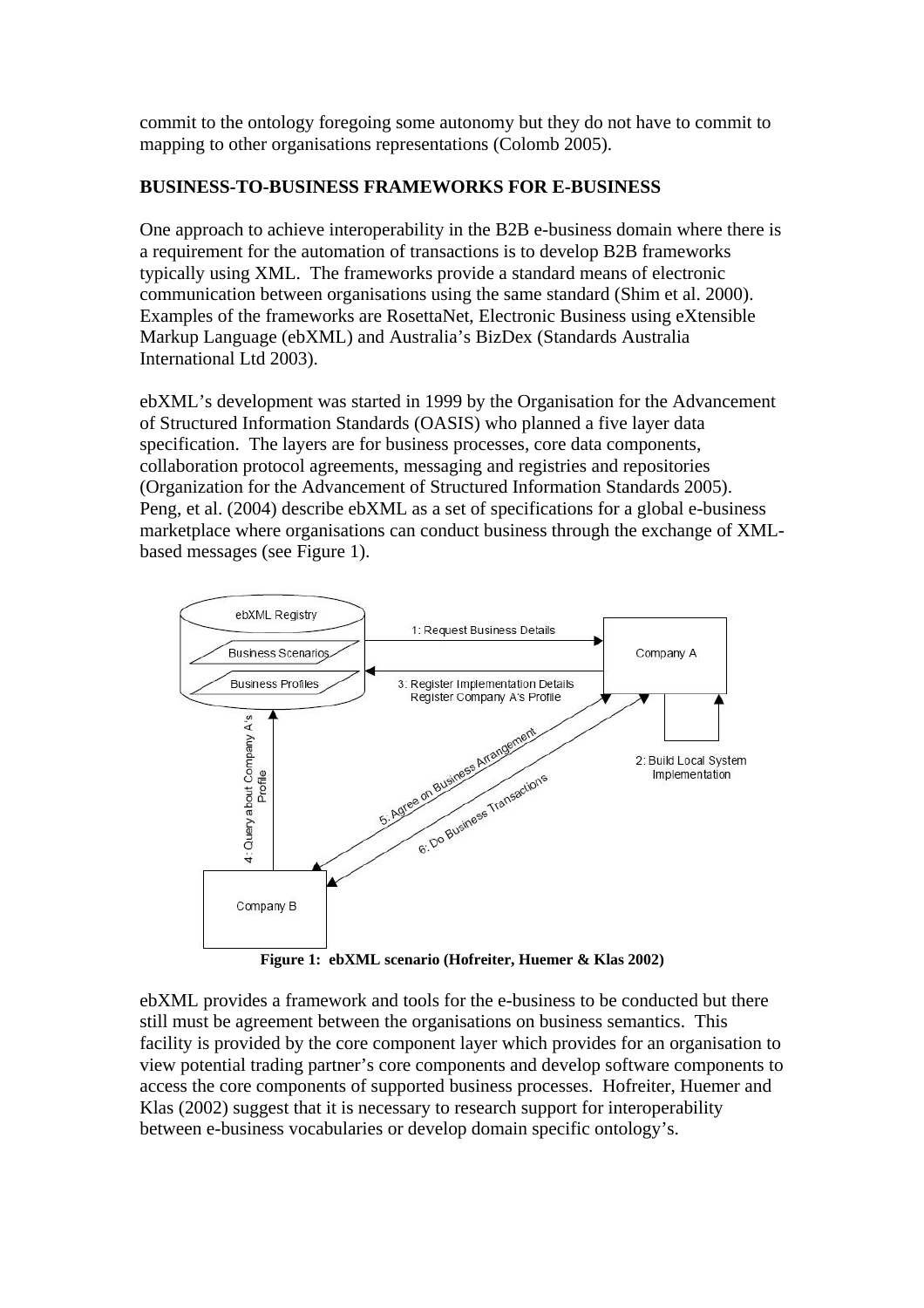commit to the ontology foregoing some autonomy but they do not have to commit to mapping to other organisations representations (Colomb 2005).

## **BUSINESS-TO-BUSINESS FRAMEWORKS FOR E-BUSINESS**

One approach to achieve interoperability in the B2B e-business domain where there is a requirement for the automation of transactions is to develop B2B frameworks typically using XML. The frameworks provide a standard means of electronic communication between organisations using the same standard (Shim et al. 2000). Examples of the frameworks are RosettaNet, Electronic Business using eXtensible Markup Language (ebXML) and Australia's BizDex (Standards Australia International Ltd 2003).

ebXML's development was started in 1999 by the Organisation for the Advancement of Structured Information Standards (OASIS) who planned a five layer data specification. The layers are for business processes, core data components, collaboration protocol agreements, messaging and registries and repositories (Organization for the Advancement of Structured Information Standards 2005). Peng, et al. (2004) describe ebXML as a set of specifications for a global e-business marketplace where organisations can conduct business through the exchange of XMLbased messages (see Figure 1).



**Figure 1: ebXML scenario (Hofreiter, Huemer & Klas 2002)** 

ebXML provides a framework and tools for the e-business to be conducted but there still must be agreement between the organisations on business semantics. This facility is provided by the core component layer which provides for an organisation to view potential trading partner's core components and develop software components to access the core components of supported business processes. Hofreiter, Huemer and Klas (2002) suggest that it is necessary to research support for interoperability between e-business vocabularies or develop domain specific ontology's.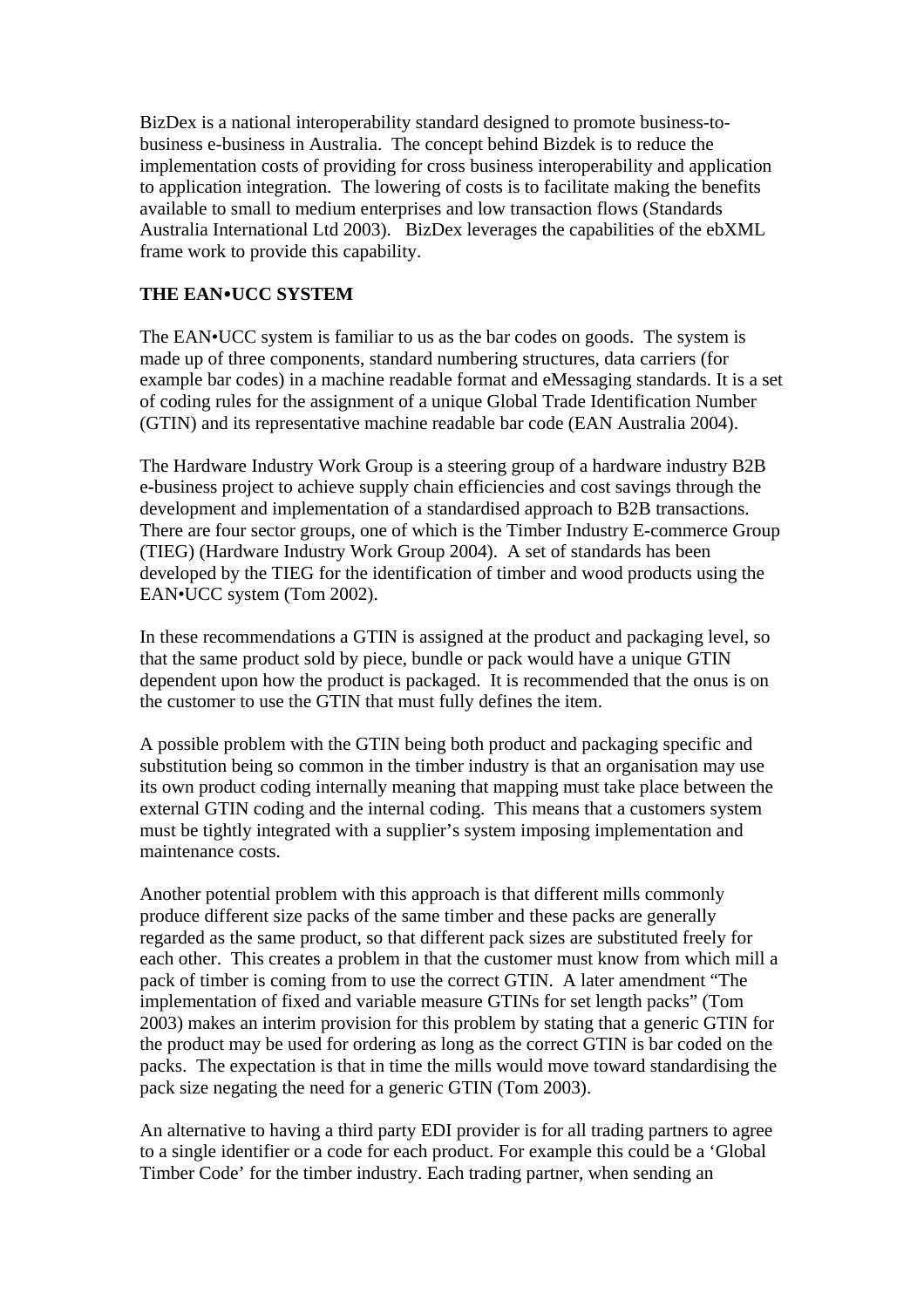BizDex is a national interoperability standard designed to promote business-tobusiness e-business in Australia. The concept behind Bizdek is to reduce the implementation costs of providing for cross business interoperability and application to application integration. The lowering of costs is to facilitate making the benefits available to small to medium enterprises and low transaction flows (Standards Australia International Ltd 2003). BizDex leverages the capabilities of the ebXML frame work to provide this capability.

# **THE EAN**y**UCC SYSTEM**

The EAN•UCC system is familiar to us as the bar codes on goods. The system is made up of three components, standard numbering structures, data carriers (for example bar codes) in a machine readable format and eMessaging standards. It is a set of coding rules for the assignment of a unique Global Trade Identification Number (GTIN) and its representative machine readable bar code (EAN Australia 2004).

The Hardware Industry Work Group is a steering group of a hardware industry B2B e-business project to achieve supply chain efficiencies and cost savings through the development and implementation of a standardised approach to B2B transactions. There are four sector groups, one of which is the Timber Industry E-commerce Group (TIEG) (Hardware Industry Work Group 2004). A set of standards has been developed by the TIEG for the identification of timber and wood products using the EAN•UCC system (Tom 2002).

In these recommendations a GTIN is assigned at the product and packaging level, so that the same product sold by piece, bundle or pack would have a unique GTIN dependent upon how the product is packaged. It is recommended that the onus is on the customer to use the GTIN that must fully defines the item.

A possible problem with the GTIN being both product and packaging specific and substitution being so common in the timber industry is that an organisation may use its own product coding internally meaning that mapping must take place between the external GTIN coding and the internal coding. This means that a customers system must be tightly integrated with a supplier's system imposing implementation and maintenance costs.

Another potential problem with this approach is that different mills commonly produce different size packs of the same timber and these packs are generally regarded as the same product, so that different pack sizes are substituted freely for each other. This creates a problem in that the customer must know from which mill a pack of timber is coming from to use the correct GTIN. A later amendment "The implementation of fixed and variable measure GTINs for set length packs" (Tom 2003) makes an interim provision for this problem by stating that a generic GTIN for the product may be used for ordering as long as the correct GTIN is bar coded on the packs. The expectation is that in time the mills would move toward standardising the pack size negating the need for a generic GTIN (Tom 2003).

An alternative to having a third party EDI provider is for all trading partners to agree to a single identifier or a code for each product. For example this could be a 'Global Timber Code' for the timber industry. Each trading partner, when sending an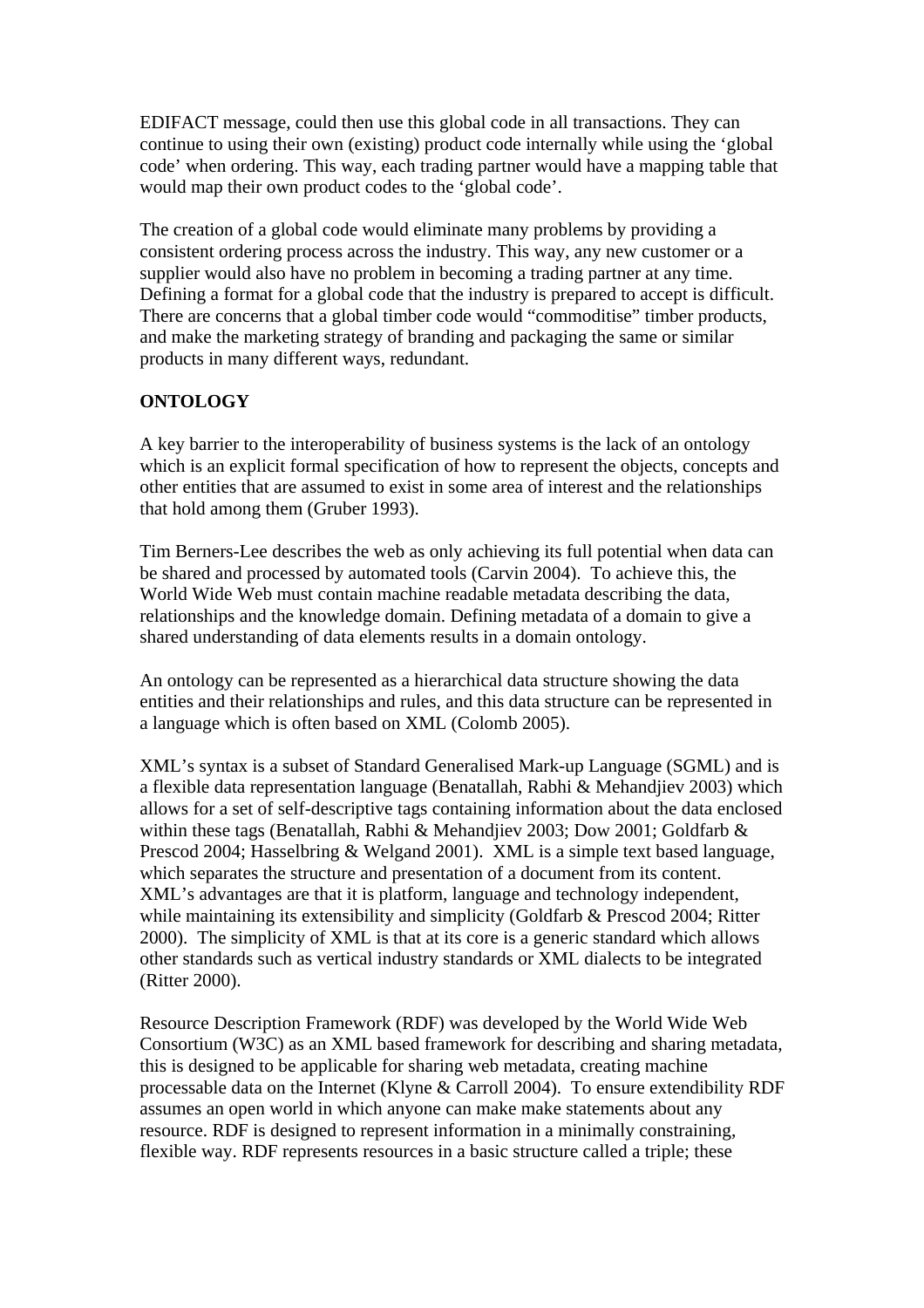EDIFACT message, could then use this global code in all transactions. They can continue to using their own (existing) product code internally while using the 'global code' when ordering. This way, each trading partner would have a mapping table that would map their own product codes to the 'global code'.

The creation of a global code would eliminate many problems by providing a consistent ordering process across the industry. This way, any new customer or a supplier would also have no problem in becoming a trading partner at any time. Defining a format for a global code that the industry is prepared to accept is difficult. There are concerns that a global timber code would "commoditise" timber products, and make the marketing strategy of branding and packaging the same or similar products in many different ways, redundant.

## **ONTOLOGY**

A key barrier to the interoperability of business systems is the lack of an ontology which is an explicit formal specification of how to represent the objects, concepts and other entities that are assumed to exist in some area of interest and the relationships that hold among them (Gruber 1993).

Tim Berners-Lee describes the web as only achieving its full potential when data can be shared and processed by automated tools (Carvin 2004). To achieve this, the World Wide Web must contain machine readable metadata describing the data, relationships and the knowledge domain. Defining metadata of a domain to give a shared understanding of data elements results in a domain ontology.

An ontology can be represented as a hierarchical data structure showing the data entities and their relationships and rules, and this data structure can be represented in a language which is often based on XML (Colomb 2005).

XML's syntax is a subset of Standard Generalised Mark-up Language (SGML) and is a flexible data representation language (Benatallah, Rabhi & Mehandjiev 2003) which allows for a set of self-descriptive tags containing information about the data enclosed within these tags (Benatallah, Rabhi & Mehandjiev 2003; Dow 2001; Goldfarb & Prescod 2004; Hasselbring & Welgand 2001). XML is a simple text based language, which separates the structure and presentation of a document from its content. XML's advantages are that it is platform, language and technology independent, while maintaining its extensibility and simplicity (Goldfarb & Prescod 2004; Ritter 2000). The simplicity of XML is that at its core is a generic standard which allows other standards such as vertical industry standards or XML dialects to be integrated (Ritter 2000).

Resource Description Framework (RDF) was developed by the World Wide Web Consortium (W3C) as an XML based framework for describing and sharing metadata, this is designed to be applicable for sharing web metadata, creating machine processable data on the Internet (Klyne & Carroll 2004). To ensure extendibility RDF assumes an open world in which anyone can make make statements about any resource. RDF is designed to represent information in a minimally constraining, flexible way. RDF represents resources in a basic structure called a triple; these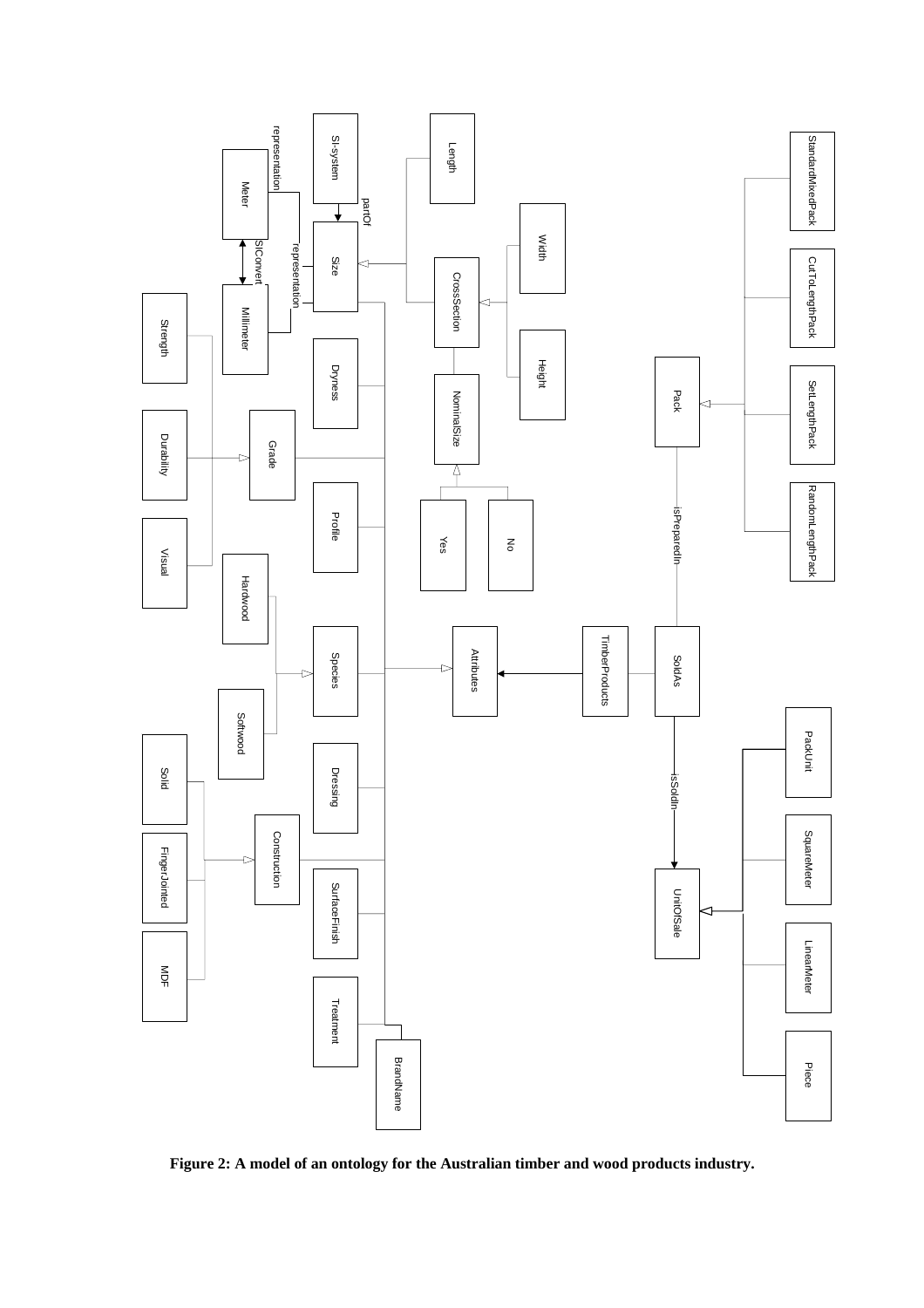

**Figure 2: A model of an ontology for the Australian timber and wood products industry.**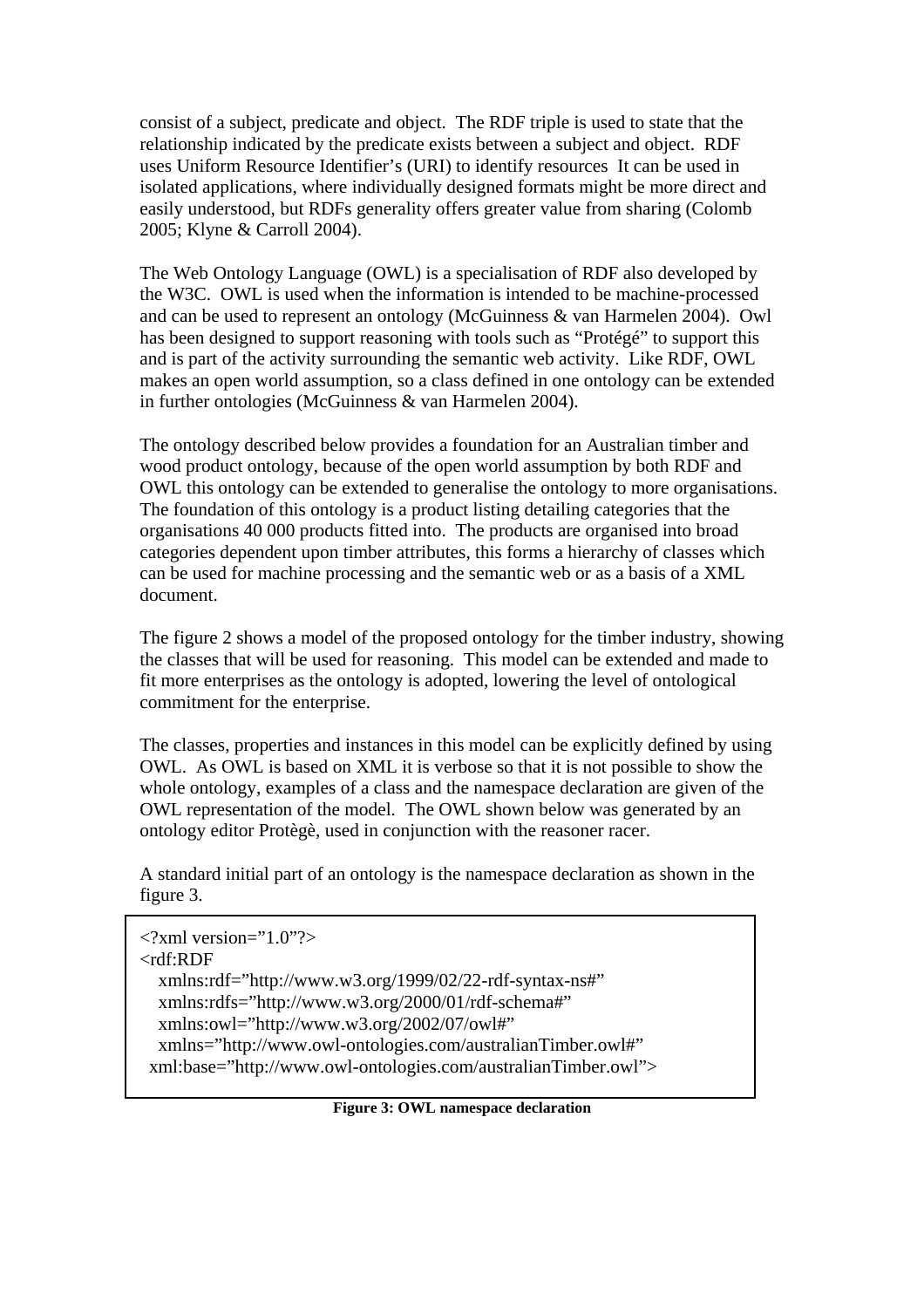consist of a subject, predicate and object. The RDF triple is used to state that the relationship indicated by the predicate exists between a subject and object. RDF uses Uniform Resource Identifier's (URI) to identify resources It can be used in isolated applications, where individually designed formats might be more direct and easily understood, but RDFs generality offers greater value from sharing (Colomb 2005; Klyne & Carroll 2004).

The Web Ontology Language (OWL) is a specialisation of RDF also developed by the W3C. OWL is used when the information is intended to be machine-processed and can be used to represent an ontology (McGuinness & van Harmelen 2004). Owl has been designed to support reasoning with tools such as "Protégé" to support this and is part of the activity surrounding the semantic web activity. Like RDF, OWL makes an open world assumption, so a class defined in one ontology can be extended in further ontologies (McGuinness & van Harmelen 2004).

The ontology described below provides a foundation for an Australian timber and wood product ontology, because of the open world assumption by both RDF and OWL this ontology can be extended to generalise the ontology to more organisations. The foundation of this ontology is a product listing detailing categories that the organisations 40 000 products fitted into. The products are organised into broad categories dependent upon timber attributes, this forms a hierarchy of classes which can be used for machine processing and the semantic web or as a basis of a XML document.

The figure 2 shows a model of the proposed ontology for the timber industry, showing the classes that will be used for reasoning. This model can be extended and made to fit more enterprises as the ontology is adopted, lowering the level of ontological commitment for the enterprise.

The classes, properties and instances in this model can be explicitly defined by using OWL. As OWL is based on XML it is verbose so that it is not possible to show the whole ontology, examples of a class and the namespace declaration are given of the OWL representation of the model. The OWL shown below was generated by an ontology editor Protègè, used in conjunction with the reasoner racer.

A standard initial part of an ontology is the namespace declaration as shown in the figure 3.

```
\langle?xml version="1.0"?>
<rdf:RDF
   xmlns:rdf="http://www.w3.org/1999/02/22-rdf-syntax-ns#" 
   xmlns:rdfs="http://www.w3.org/2000/01/rdf-schema#" 
   xmlns:owl="http://www.w3.org/2002/07/owl#" 
   xmlns="http://www.owl-ontologies.com/australianTimber.owl#" 
  xml:base="http://www.owl-ontologies.com/australianTimber.owl">
```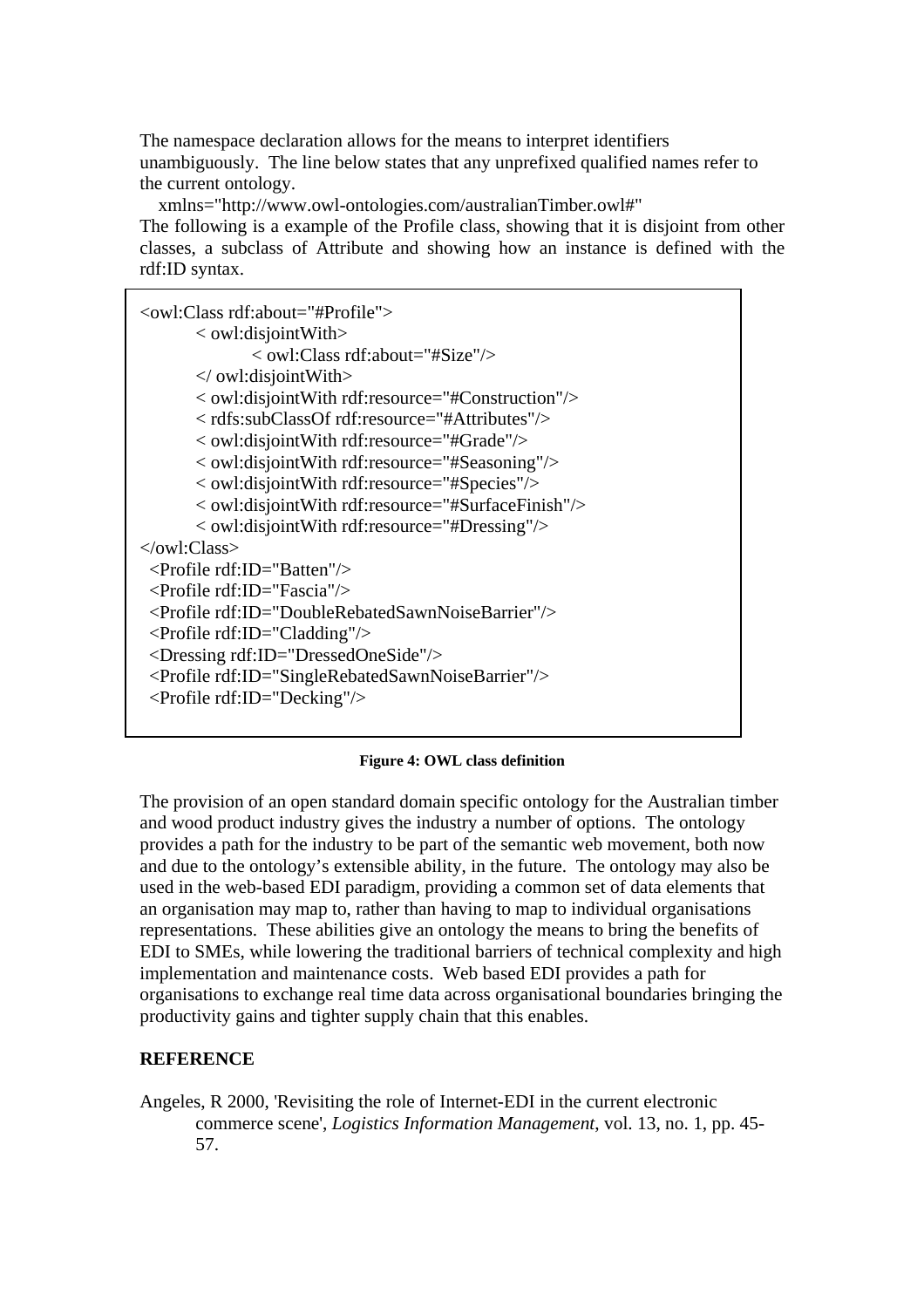The namespace declaration allows for the means to interpret identifiers unambiguously. The line below states that any unprefixed qualified names refer to the current ontology.

 xmlns="http://www.owl-ontologies.com/australianTimber.owl#" The following is a example of the Profile class, showing that it is disjoint from other classes, a subclass of Attribute and showing how an instance is defined with the rdf:ID syntax.

| <owl:class rdf:about="#Profile"></owl:class>                   |
|----------------------------------------------------------------|
| $\langle$ owl:disjoint With $>$                                |
| $\langle$ owl:Class rdf:about="#Size"/ $>$                     |
| $\ll$ owl: disjoint With $>$                                   |
| < owl:disjointWith rdf:resource="#Construction"/>              |
| <rdfs:subclassof rdf:resource="#Attributes"></rdfs:subclassof> |
| < owl:disjointWith rdf:resource="#Grade"/>                     |
| < owl:disjointWith rdf:resource="#Seasoning"/>                 |
| < owl:disjoint With rdf: resource="#Species"/>                 |
| < owl:disjointWith rdf:resource="#SurfaceFinish"/>             |
| < owl:disjointWith rdf:resource="#Dressing"/>                  |
| $\langle$ /owl:Class>                                          |
| $\langle$ Profile rdf:ID="Batten"/ $>$                         |
| $\langle$ Profile rdf:ID="Fascia"/ $>$                         |
| <profile rdf:id="DoubleRebatedSawnNoiseBarrier"></profile>     |
| $\le$ Profile rdf:ID="Cladding"/ $>$                           |
| <dressing rdf:id="DressedOneSide"></dressing>                  |
| <profile rdf:id="SingleRebatedSawnNoiseBarrier"></profile>     |
| <profile rdf:id="Decking"></profile>                           |
|                                                                |

#### **Figure 4: OWL class definition**

The provision of an open standard domain specific ontology for the Australian timber and wood product industry gives the industry a number of options. The ontology provides a path for the industry to be part of the semantic web movement, both now and due to the ontology's extensible ability, in the future. The ontology may also be used in the web-based EDI paradigm, providing a common set of data elements that an organisation may map to, rather than having to map to individual organisations representations. These abilities give an ontology the means to bring the benefits of EDI to SMEs, while lowering the traditional barriers of technical complexity and high implementation and maintenance costs. Web based EDI provides a path for organisations to exchange real time data across organisational boundaries bringing the productivity gains and tighter supply chain that this enables.

#### **REFERENCE**

Angeles, R 2000, 'Revisiting the role of Internet-EDI in the current electronic commerce scene', *Logistics Information Management*, vol. 13, no. 1, pp. 45- 57.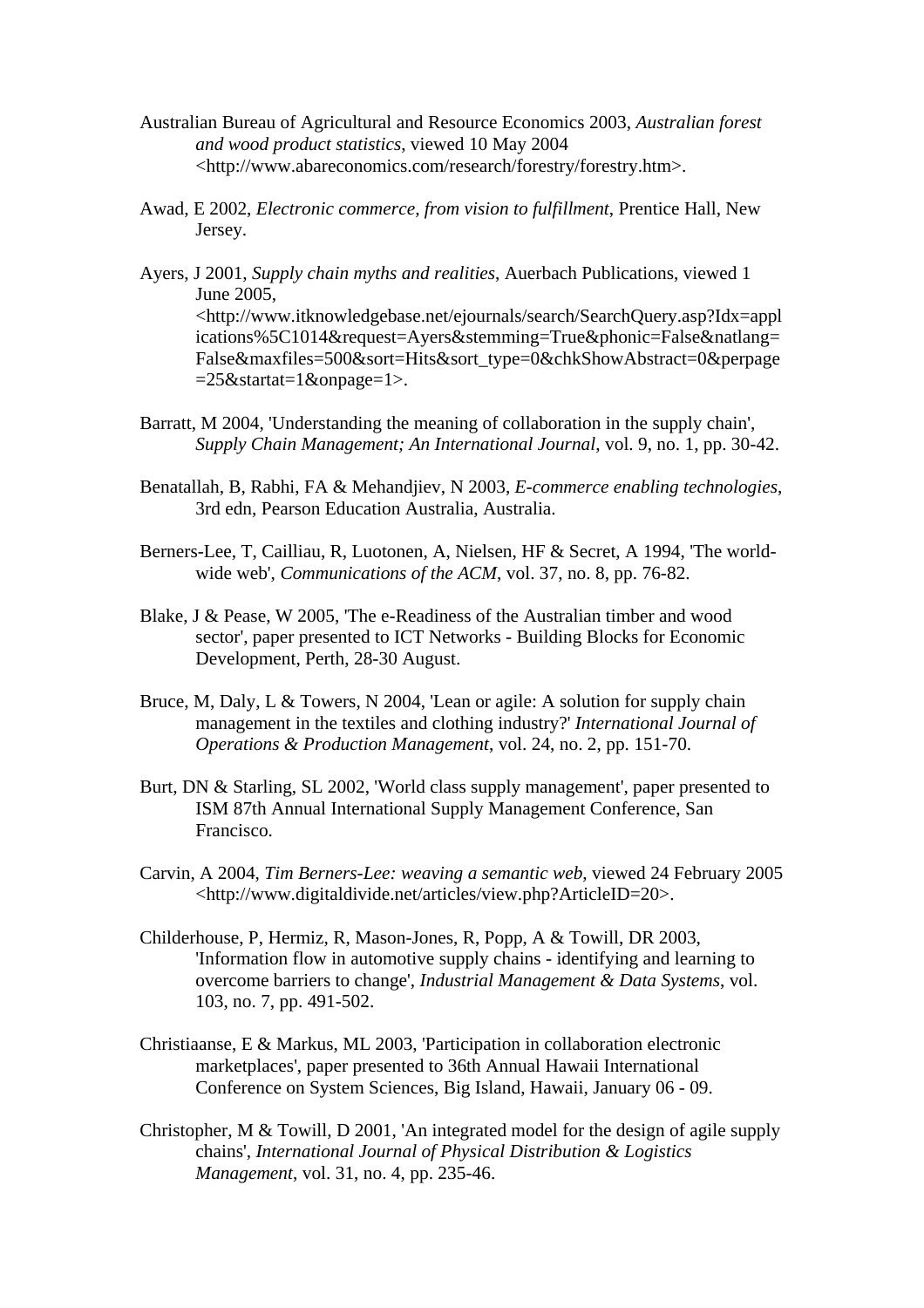- Australian Bureau of Agricultural and Resource Economics 2003, *Australian forest and wood product statistics*, viewed 10 May 2004 <http://www.abareconomics.com/research/forestry/forestry.htm>.
- Awad, E 2002, *Electronic commerce, from vision to fulfillment*, Prentice Hall, New Jersey.
- Ayers, J 2001, *Supply chain myths and realities*, Auerbach Publications, viewed 1 June 2005, <http://www.itknowledgebase.net/ejournals/search/SearchQuery.asp?Idx=appl ications%5C1014&request=Ayers&stemming=True&phonic=False&natlang= False&maxfiles=500&sort=Hits&sort\_type=0&chkShowAbstract=0&perpage =25&startat=1&onpage=1>.
- Barratt, M 2004, 'Understanding the meaning of collaboration in the supply chain', *Supply Chain Management; An International Journal*, vol. 9, no. 1, pp. 30-42.
- Benatallah, B, Rabhi, FA & Mehandjiev, N 2003, *E-commerce enabling technologies*, 3rd edn, Pearson Education Australia, Australia.
- Berners-Lee, T, Cailliau, R, Luotonen, A, Nielsen, HF & Secret, A 1994, 'The worldwide web', *Communications of the ACM*, vol. 37, no. 8, pp. 76-82.
- Blake, J & Pease, W 2005, 'The e-Readiness of the Australian timber and wood sector', paper presented to ICT Networks - Building Blocks for Economic Development, Perth, 28-30 August.
- Bruce, M, Daly, L & Towers, N 2004, 'Lean or agile: A solution for supply chain management in the textiles and clothing industry?' *International Journal of Operations & Production Management*, vol. 24, no. 2, pp. 151-70.
- Burt, DN & Starling, SL 2002, 'World class supply management', paper presented to ISM 87th Annual International Supply Management Conference, San Francisco.
- Carvin, A 2004, *Tim Berners-Lee: weaving a semantic web*, viewed 24 February 2005 <http://www.digitaldivide.net/articles/view.php?ArticleID=20>.
- Childerhouse, P, Hermiz, R, Mason-Jones, R, Popp, A & Towill, DR 2003, 'Information flow in automotive supply chains - identifying and learning to overcome barriers to change', *Industrial Management & Data Systems*, vol. 103, no. 7, pp. 491-502.
- Christiaanse, E & Markus, ML 2003, 'Participation in collaboration electronic marketplaces', paper presented to 36th Annual Hawaii International Conference on System Sciences, Big Island, Hawaii, January 06 - 09.
- Christopher, M & Towill, D 2001, 'An integrated model for the design of agile supply chains', *International Journal of Physical Distribution & Logistics Management*, vol. 31, no. 4, pp. 235-46.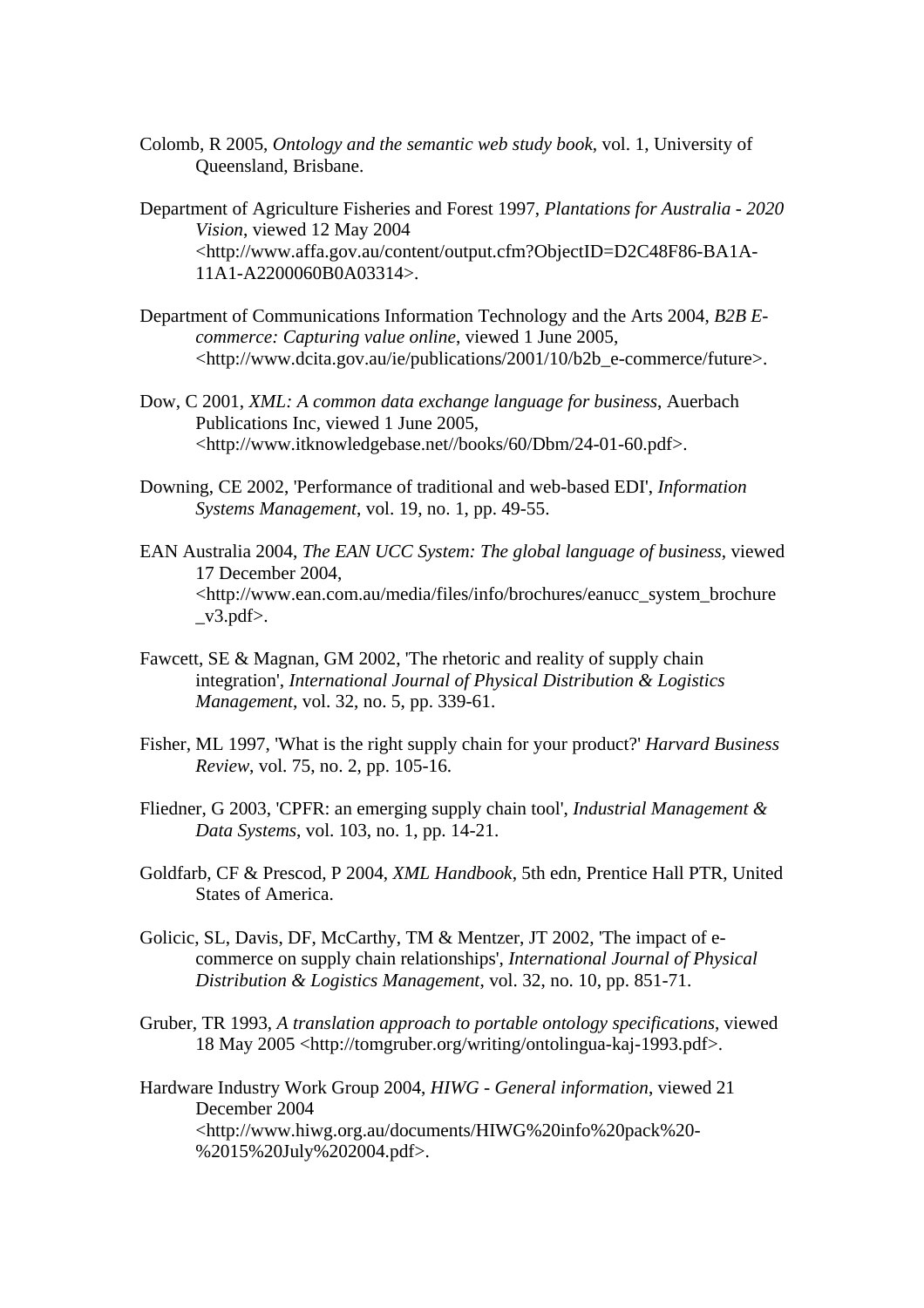- Colomb, R 2005, *Ontology and the semantic web study book*, vol. 1, University of Queensland, Brisbane.
- Department of Agriculture Fisheries and Forest 1997, *Plantations for Australia 2020 Vision*, viewed 12 May 2004 <http://www.affa.gov.au/content/output.cfm?ObjectID=D2C48F86-BA1A-11A1-A2200060B0A03314>.
- Department of Communications Information Technology and the Arts 2004, *B2B Ecommerce: Capturing value online*, viewed 1 June 2005, <http://www.dcita.gov.au/ie/publications/2001/10/b2b\_e-commerce/future>.
- Dow, C 2001, *XML: A common data exchange language for business*, Auerbach Publications Inc, viewed 1 June 2005, <http://www.itknowledgebase.net//books/60/Dbm/24-01-60.pdf>.
- Downing, CE 2002, 'Performance of traditional and web-based EDI', *Information Systems Management*, vol. 19, no. 1, pp. 49-55.
- EAN Australia 2004, *The EAN UCC System: The global language of business*, viewed 17 December 2004, <http://www.ean.com.au/media/files/info/brochures/eanucc\_system\_brochure  $_v3.pdf$ .
- Fawcett, SE & Magnan, GM 2002, 'The rhetoric and reality of supply chain integration', *International Journal of Physical Distribution & Logistics Management*, vol. 32, no. 5, pp. 339-61.
- Fisher, ML 1997, 'What is the right supply chain for your product?' *Harvard Business Review*, vol. 75, no. 2, pp. 105-16.
- Fliedner, G 2003, 'CPFR: an emerging supply chain tool', *Industrial Management & Data Systems*, vol. 103, no. 1, pp. 14-21.
- Goldfarb, CF & Prescod, P 2004, *XML Handbook*, 5th edn, Prentice Hall PTR, United States of America.
- Golicic, SL, Davis, DF, McCarthy, TM & Mentzer, JT 2002, 'The impact of ecommerce on supply chain relationships', *International Journal of Physical Distribution & Logistics Management*, vol. 32, no. 10, pp. 851-71.
- Gruber, TR 1993, *A translation approach to portable ontology specifications*, viewed 18 May 2005 <http://tomgruber.org/writing/ontolingua-kaj-1993.pdf>.

Hardware Industry Work Group 2004, *HIWG - General information*, viewed 21 December 2004 <http://www.hiwg.org.au/documents/HIWG%20info%20pack%20- %2015%20July%202004.pdf>.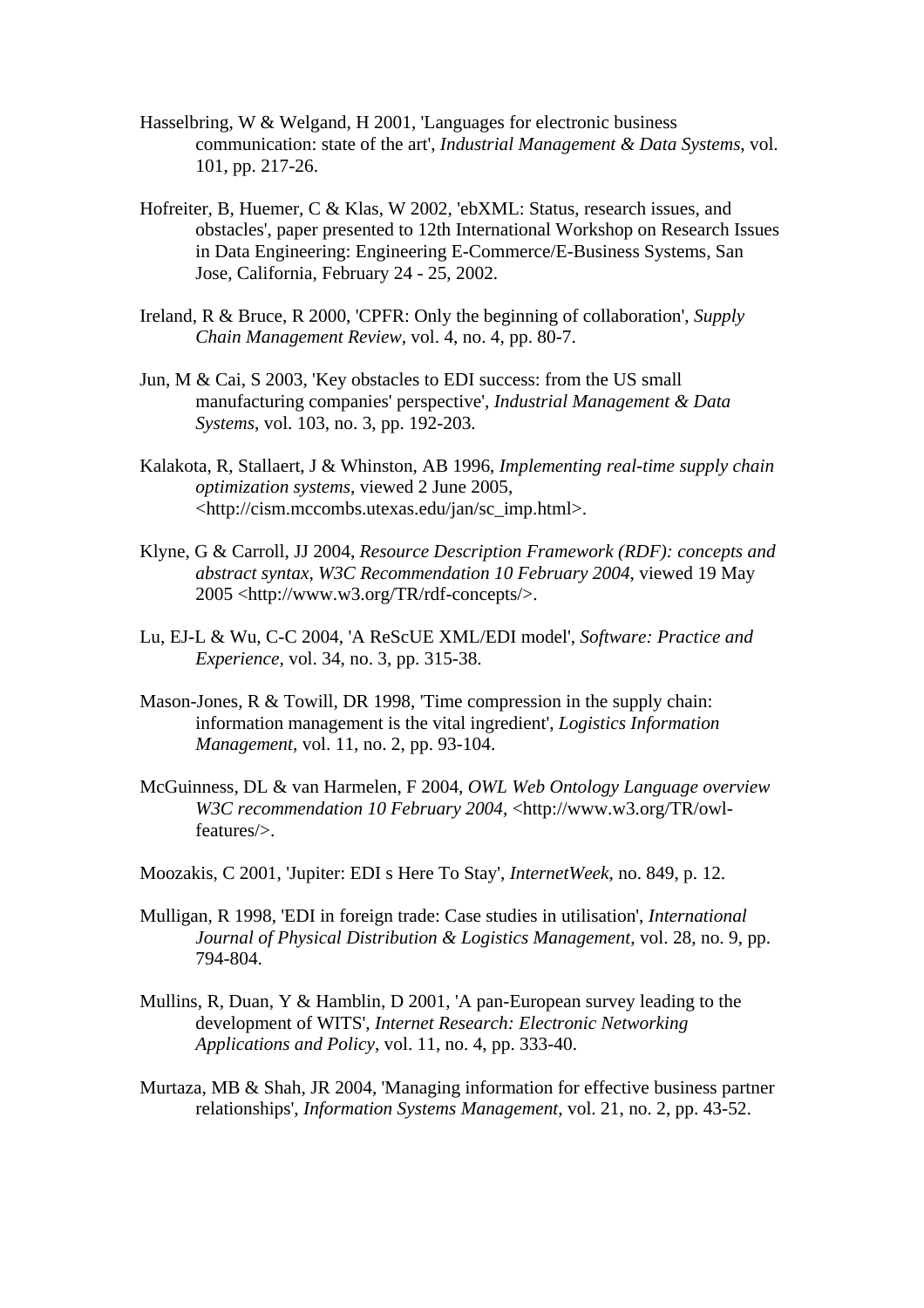- Hasselbring, W & Welgand, H 2001, 'Languages for electronic business communication: state of the art', *Industrial Management & Data Systems*, vol. 101, pp. 217-26.
- Hofreiter, B, Huemer, C & Klas, W 2002, 'ebXML: Status, research issues, and obstacles', paper presented to 12th International Workshop on Research Issues in Data Engineering: Engineering E-Commerce/E-Business Systems, San Jose, California, February 24 - 25, 2002.
- Ireland, R & Bruce, R 2000, 'CPFR: Only the beginning of collaboration', *Supply Chain Management Review*, vol. 4, no. 4, pp. 80-7.
- Jun, M & Cai, S 2003, 'Key obstacles to EDI success: from the US small manufacturing companies' perspective', *Industrial Management & Data Systems*, vol. 103, no. 3, pp. 192-203.
- Kalakota, R, Stallaert, J & Whinston, AB 1996, *Implementing real-time supply chain optimization systems*, viewed 2 June 2005, <http://cism.mccombs.utexas.edu/jan/sc\_imp.html>.
- Klyne, G & Carroll, JJ 2004, *Resource Description Framework (RDF): concepts and abstract syntax, W3C Recommendation 10 February 2004*, viewed 19 May 2005 <http://www.w3.org/TR/rdf-concepts/>.
- Lu, EJ-L & Wu, C-C 2004, 'A ReScUE XML/EDI model', *Software: Practice and Experience*, vol. 34, no. 3, pp. 315-38.
- Mason-Jones, R & Towill, DR 1998, 'Time compression in the supply chain: information management is the vital ingredient', *Logistics Information Management*, vol. 11, no. 2, pp. 93-104.
- McGuinness, DL & van Harmelen, F 2004, *OWL Web Ontology Language overview W3C recommendation 10 February 2004*, <http://www.w3.org/TR/owlfeatures/>.
- Moozakis, C 2001, 'Jupiter: EDI s Here To Stay', *InternetWeek*, no. 849, p. 12.
- Mulligan, R 1998, 'EDI in foreign trade: Case studies in utilisation', *International Journal of Physical Distribution & Logistics Management*, vol. 28, no. 9, pp. 794-804.
- Mullins, R, Duan, Y & Hamblin, D 2001, 'A pan-European survey leading to the development of WITS', *Internet Research: Electronic Networking Applications and Policy*, vol. 11, no. 4, pp. 333-40.
- Murtaza, MB & Shah, JR 2004, 'Managing information for effective business partner relationships', *Information Systems Management*, vol. 21, no. 2, pp. 43-52.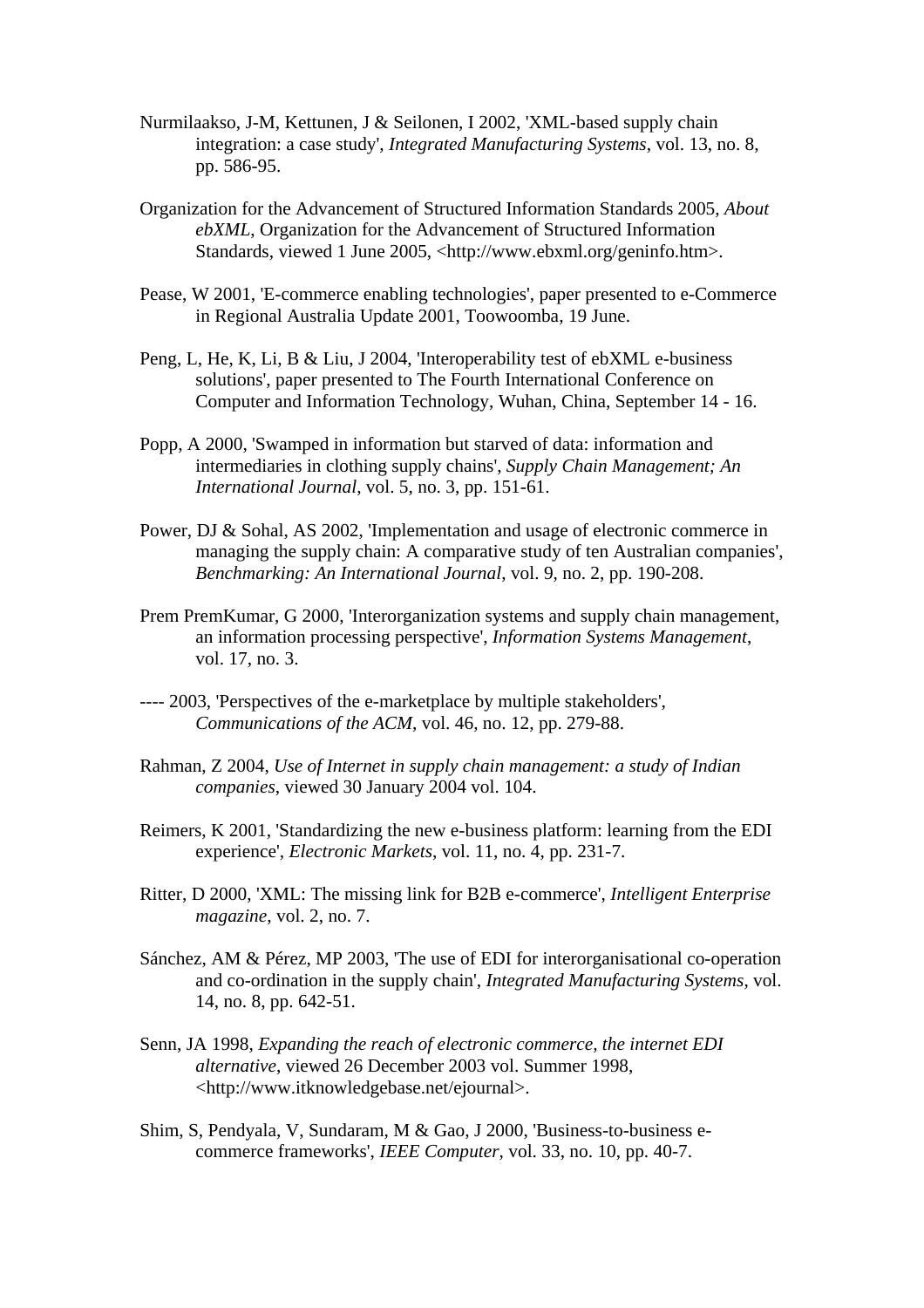- Nurmilaakso, J-M, Kettunen, J & Seilonen, I 2002, 'XML-based supply chain integration: a case study', *Integrated Manufacturing Systems*, vol. 13, no. 8, pp. 586-95.
- Organization for the Advancement of Structured Information Standards 2005, *About ebXML*, Organization for the Advancement of Structured Information Standards, viewed 1 June 2005, <http://www.ebxml.org/geninfo.htm>.
- Pease, W 2001, 'E-commerce enabling technologies', paper presented to e-Commerce in Regional Australia Update 2001, Toowoomba, 19 June.
- Peng, L, He, K, Li, B & Liu, J 2004, 'Interoperability test of ebXML e-business solutions', paper presented to The Fourth International Conference on Computer and Information Technology, Wuhan, China, September 14 - 16.
- Popp, A 2000, 'Swamped in information but starved of data: information and intermediaries in clothing supply chains', *Supply Chain Management; An International Journal*, vol. 5, no. 3, pp. 151-61.
- Power, DJ & Sohal, AS 2002, 'Implementation and usage of electronic commerce in managing the supply chain: A comparative study of ten Australian companies', *Benchmarking: An International Journal*, vol. 9, no. 2, pp. 190-208.
- Prem PremKumar, G 2000, 'Interorganization systems and supply chain management, an information processing perspective', *Information Systems Management*, vol. 17, no. 3.
- ---- 2003, 'Perspectives of the e-marketplace by multiple stakeholders', *Communications of the ACM*, vol. 46, no. 12, pp. 279-88.
- Rahman, Z 2004, *Use of Internet in supply chain management: a study of Indian companies*, viewed 30 January 2004 vol. 104.
- Reimers, K 2001, 'Standardizing the new e-business platform: learning from the EDI experience', *Electronic Markets*, vol. 11, no. 4, pp. 231-7.
- Ritter, D 2000, 'XML: The missing link for B2B e-commerce', *Intelligent Enterprise magazine*, vol. 2, no. 7.
- Sánchez, AM & Pérez, MP 2003, 'The use of EDI for interorganisational co-operation and co-ordination in the supply chain', *Integrated Manufacturing Systems*, vol. 14, no. 8, pp. 642-51.
- Senn, JA 1998, *Expanding the reach of electronic commerce, the internet EDI alternative*, viewed 26 December 2003 vol. Summer 1998, <http://www.itknowledgebase.net/ejournal>.
- Shim, S, Pendyala, V, Sundaram, M & Gao, J 2000, 'Business-to-business ecommerce frameworks', *IEEE Computer*, vol. 33, no. 10, pp. 40-7.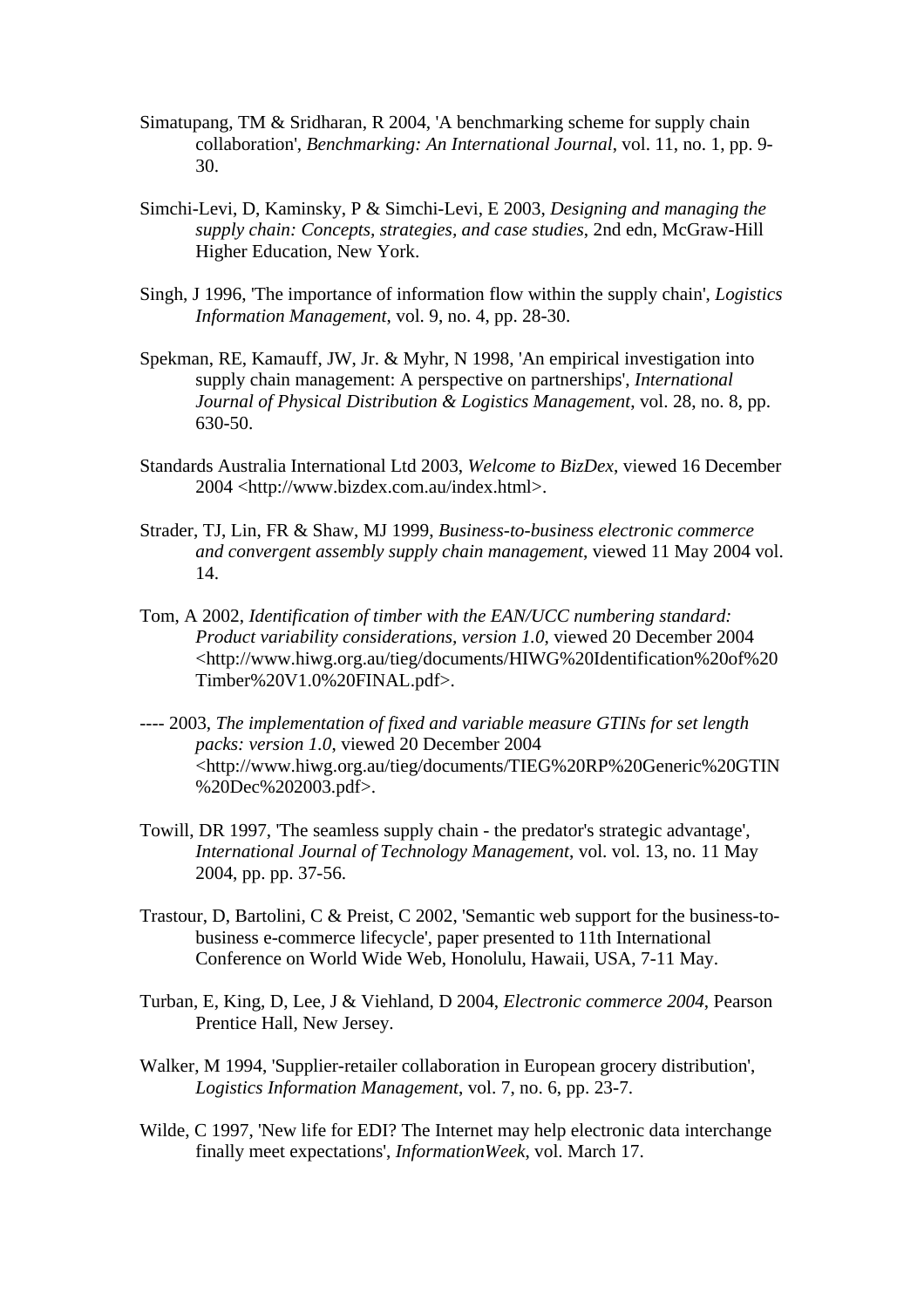- Simatupang, TM & Sridharan, R 2004, 'A benchmarking scheme for supply chain collaboration', *Benchmarking: An International Journal*, vol. 11, no. 1, pp. 9- 30.
- Simchi-Levi, D, Kaminsky, P & Simchi-Levi, E 2003, *Designing and managing the supply chain: Concepts, strategies, and case studies*, 2nd edn, McGraw-Hill Higher Education, New York.
- Singh, J 1996, 'The importance of information flow within the supply chain', *Logistics Information Management*, vol. 9, no. 4, pp. 28-30.
- Spekman, RE, Kamauff, JW, Jr. & Myhr, N 1998, 'An empirical investigation into supply chain management: A perspective on partnerships', *International Journal of Physical Distribution & Logistics Management*, vol. 28, no. 8, pp. 630-50.
- Standards Australia International Ltd 2003, *Welcome to BizDex*, viewed 16 December 2004 <http://www.bizdex.com.au/index.html>.
- Strader, TJ, Lin, FR & Shaw, MJ 1999, *Business-to-business electronic commerce and convergent assembly supply chain management*, viewed 11 May 2004 vol. 14.
- Tom, A 2002, *Identification of timber with the EAN/UCC numbering standard: Product variability considerations, version 1.0*, viewed 20 December 2004 <http://www.hiwg.org.au/tieg/documents/HIWG%20Identification%20of%20 Timber%20V1.0%20FINAL.pdf>.
- ---- 2003, *The implementation of fixed and variable measure GTINs for set length packs: version 1.0*, viewed 20 December 2004 <http://www.hiwg.org.au/tieg/documents/TIEG%20RP%20Generic%20GTIN %20Dec%202003.pdf>.
- Towill, DR 1997, 'The seamless supply chain the predator's strategic advantage', *International Journal of Technology Management*, vol. vol. 13, no. 11 May 2004, pp. pp. 37-56.
- Trastour, D, Bartolini, C & Preist, C 2002, 'Semantic web support for the business-tobusiness e-commerce lifecycle', paper presented to 11th International Conference on World Wide Web, Honolulu, Hawaii, USA, 7-11 May.
- Turban, E, King, D, Lee, J & Viehland, D 2004, *Electronic commerce 2004*, Pearson Prentice Hall, New Jersey.
- Walker, M 1994, 'Supplier-retailer collaboration in European grocery distribution', *Logistics Information Management*, vol. 7, no. 6, pp. 23-7.
- Wilde, C 1997, 'New life for EDI? The Internet may help electronic data interchange finally meet expectations', *InformationWeek*, vol. March 17.